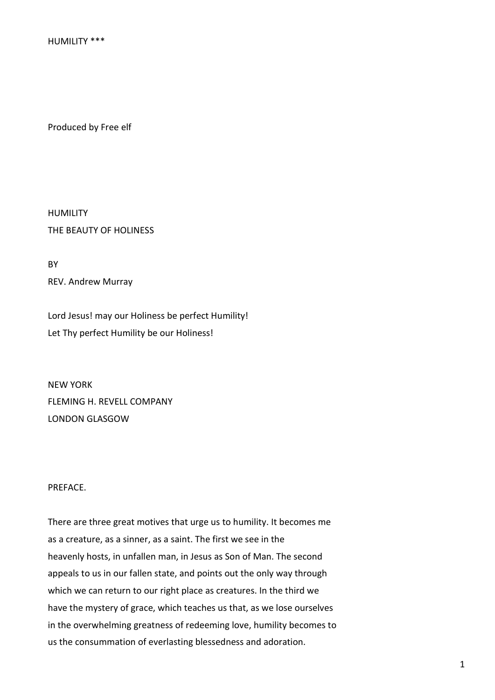HUMILITY \*\*\*

Produced by Free elf

HUMILITY THE BEAUTY OF HOLINESS

**RY** REV. Andrew Murray

Lord Jesus! may our Holiness be perfect Humility! Let Thy perfect Humility be our Holiness!

NEW YORK FLEMING H. REVELL COMPANY LONDON GLASGOW

## PREFACE.

There are three great motives that urge us to humility. It becomes me as a creature, as a sinner, as a saint. The first we see in the heavenly hosts, in unfallen man, in Jesus as Son of Man. The second appeals to us in our fallen state, and points out the only way through which we can return to our right place as creatures. In the third we have the mystery of grace, which teaches us that, as we lose ourselves in the overwhelming greatness of redeeming love, humility becomes to us the consummation of everlasting blessedness and adoration.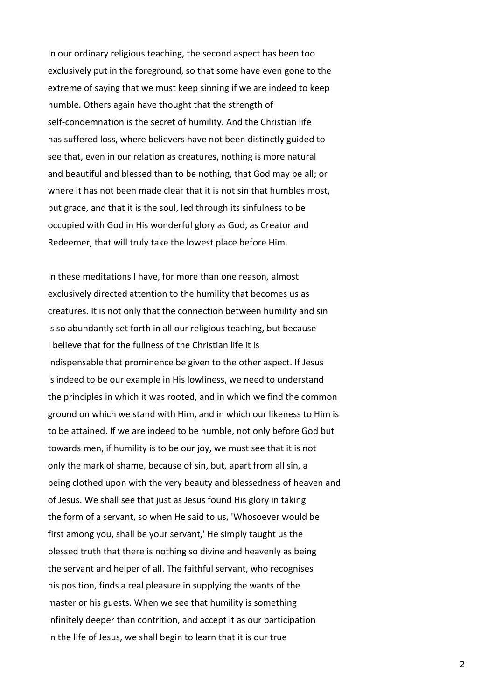In our ordinary religious teaching, the second aspect has been too exclusively put in the foreground, so that some have even gone to the extreme of saying that we must keep sinning if we are indeed to keep humble. Others again have thought that the strength of self-condemnation is the secret of humility. And the Christian life has suffered loss, where believers have not been distinctly guided to see that, even in our relation as creatures, nothing is more natural and beautiful and blessed than to be nothing, that God may be all; or where it has not been made clear that it is not sin that humbles most, but grace, and that it is the soul, led through its sinfulness to be occupied with God in His wonderful glory as God, as Creator and Redeemer, that will truly take the lowest place before Him.

In these meditations I have, for more than one reason, almost exclusively directed attention to the humility that becomes us as creatures. It is not only that the connection between humility and sin is so abundantly set forth in all our religious teaching, but because I believe that for the fullness of the Christian life it is indispensable that prominence be given to the other aspect. If Jesus is indeed to be our example in His lowliness, we need to understand the principles in which it was rooted, and in which we find the common ground on which we stand with Him, and in which our likeness to Him is to be attained. If we are indeed to be humble, not only before God but towards men, if humility is to be our joy, we must see that it is not only the mark of shame, because of sin, but, apart from all sin, a being clothed upon with the very beauty and blessedness of heaven and of Jesus. We shall see that just as Jesus found His glory in taking the form of a servant, so when He said to us, 'Whosoever would be first among you, shall be your servant,' He simply taught us the blessed truth that there is nothing so divine and heavenly as being the servant and helper of all. The faithful servant, who recognises his position, finds a real pleasure in supplying the wants of the master or his guests. When we see that humility is something infinitely deeper than contrition, and accept it as our participation in the life of Jesus, we shall begin to learn that it is our true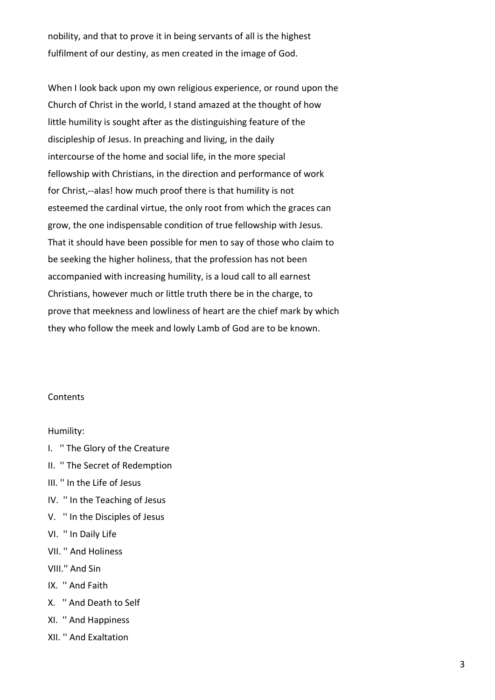nobility, and that to prove it in being servants of all is the highest fulfilment of our destiny, as men created in the image of God.

When I look back upon my own religious experience, or round upon the Church of Christ in the world, I stand amazed at the thought of how little humility is sought after as the distinguishing feature of the discipleship of Jesus. In preaching and living, in the daily intercourse of the home and social life, in the more special fellowship with Christians, in the direction and performance of work for Christ,--alas! how much proof there is that humility is not esteemed the cardinal virtue, the only root from which the graces can grow, the one indispensable condition of true fellowship with Jesus. That it should have been possible for men to say of those who claim to be seeking the higher holiness, that the profession has not been accompanied with increasing humility, is a loud call to all earnest Christians, however much or little truth there be in the charge, to prove that meekness and lowliness of heart are the chief mark by which they who follow the meek and lowly Lamb of God are to be known.

# **Contents**

### Humility:

- I. '' The Glory of the Creature
- II. '' The Secret of Redemption
- III. '' In the Life of Jesus
- IV. '' In the Teaching of Jesus
- V. '' In the Disciples of Jesus
- VI. '' In Daily Life
- VII. '' And Holiness
- VIII.'' And Sin
- IX. '' And Faith
- X. '' And Death to Self
- XI. '' And Happiness
- XII. '' And Exaltation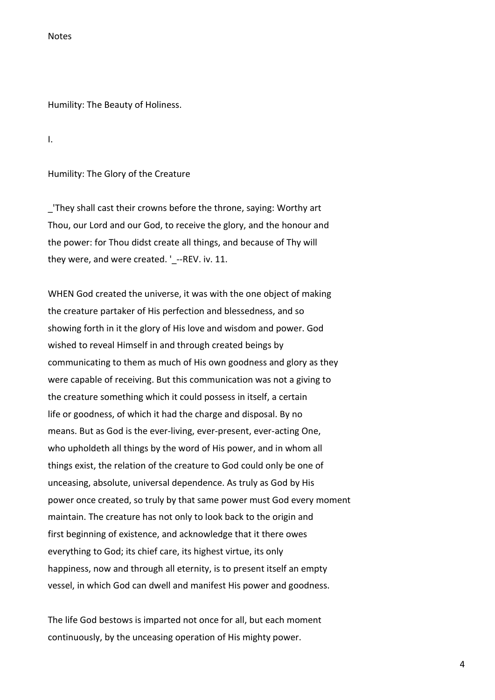**Notes** 

Humility: The Beauty of Holiness.

I.

Humility: The Glory of the Creature

\_'They shall cast their crowns before the throne, saying: Worthy art Thou, our Lord and our God, to receive the glory, and the honour and the power: for Thou didst create all things, and because of Thy will they were, and were created. ' --REV. iv. 11.

WHEN God created the universe, it was with the one object of making the creature partaker of His perfection and blessedness, and so showing forth in it the glory of His love and wisdom and power. God wished to reveal Himself in and through created beings by communicating to them as much of His own goodness and glory as they were capable of receiving. But this communication was not a giving to the creature something which it could possess in itself, a certain life or goodness, of which it had the charge and disposal. By no means. But as God is the ever-living, ever-present, ever-acting One, who upholdeth all things by the word of His power, and in whom all things exist, the relation of the creature to God could only be one of unceasing, absolute, universal dependence. As truly as God by His power once created, so truly by that same power must God every moment maintain. The creature has not only to look back to the origin and first beginning of existence, and acknowledge that it there owes everything to God; its chief care, its highest virtue, its only happiness, now and through all eternity, is to present itself an empty vessel, in which God can dwell and manifest His power and goodness.

The life God bestows is imparted not once for all, but each moment continuously, by the unceasing operation of His mighty power.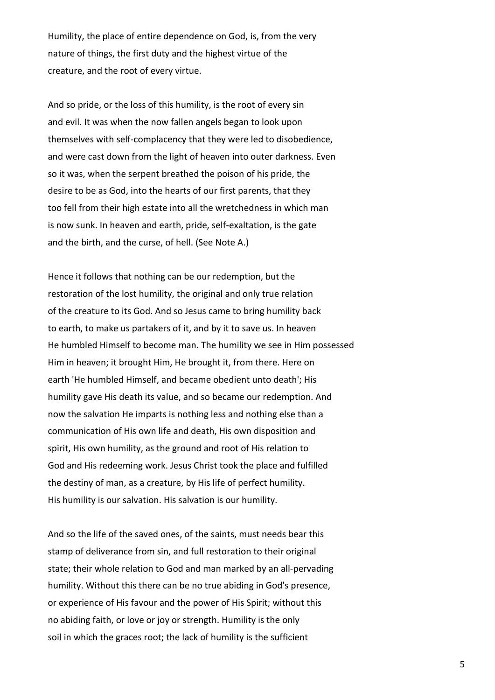Humility, the place of entire dependence on God, is, from the very nature of things, the first duty and the highest virtue of the creature, and the root of every virtue.

And so pride, or the loss of this humility, is the root of every sin and evil. It was when the now fallen angels began to look upon themselves with self-complacency that they were led to disobedience, and were cast down from the light of heaven into outer darkness. Even so it was, when the serpent breathed the poison of his pride, the desire to be as God, into the hearts of our first parents, that they too fell from their high estate into all the wretchedness in which man is now sunk. In heaven and earth, pride, self-exaltation, is the gate and the birth, and the curse, of hell. (See Note A.)

Hence it follows that nothing can be our redemption, but the restoration of the lost humility, the original and only true relation of the creature to its God. And so Jesus came to bring humility back to earth, to make us partakers of it, and by it to save us. In heaven He humbled Himself to become man. The humility we see in Him possessed Him in heaven; it brought Him, He brought it, from there. Here on earth 'He humbled Himself, and became obedient unto death'; His humility gave His death its value, and so became our redemption. And now the salvation He imparts is nothing less and nothing else than a communication of His own life and death, His own disposition and spirit, His own humility, as the ground and root of His relation to God and His redeeming work. Jesus Christ took the place and fulfilled the destiny of man, as a creature, by His life of perfect humility. His humility is our salvation. His salvation is our humility.

And so the life of the saved ones, of the saints, must needs bear this stamp of deliverance from sin, and full restoration to their original state; their whole relation to God and man marked by an all-pervading humility. Without this there can be no true abiding in God's presence, or experience of His favour and the power of His Spirit; without this no abiding faith, or love or joy or strength. Humility is the only soil in which the graces root; the lack of humility is the sufficient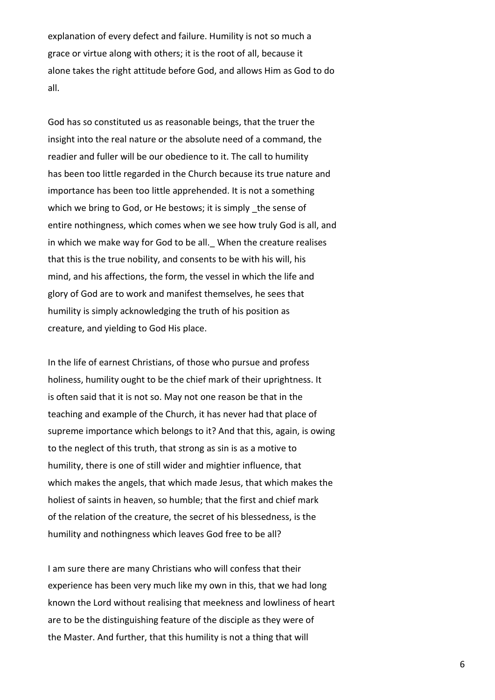explanation of every defect and failure. Humility is not so much a grace or virtue along with others; it is the root of all, because it alone takes the right attitude before God, and allows Him as God to do all.

God has so constituted us as reasonable beings, that the truer the insight into the real nature or the absolute need of a command, the readier and fuller will be our obedience to it. The call to humility has been too little regarded in the Church because its true nature and importance has been too little apprehended. It is not a something which we bring to God, or He bestows; it is simply the sense of entire nothingness, which comes when we see how truly God is all, and in which we make way for God to be all. When the creature realises that this is the true nobility, and consents to be with his will, his mind, and his affections, the form, the vessel in which the life and glory of God are to work and manifest themselves, he sees that humility is simply acknowledging the truth of his position as creature, and yielding to God His place.

In the life of earnest Christians, of those who pursue and profess holiness, humility ought to be the chief mark of their uprightness. It is often said that it is not so. May not one reason be that in the teaching and example of the Church, it has never had that place of supreme importance which belongs to it? And that this, again, is owing to the neglect of this truth, that strong as sin is as a motive to humility, there is one of still wider and mightier influence, that which makes the angels, that which made Jesus, that which makes the holiest of saints in heaven, so humble; that the first and chief mark of the relation of the creature, the secret of his blessedness, is the humility and nothingness which leaves God free to be all?

I am sure there are many Christians who will confess that their experience has been very much like my own in this, that we had long known the Lord without realising that meekness and lowliness of heart are to be the distinguishing feature of the disciple as they were of the Master. And further, that this humility is not a thing that will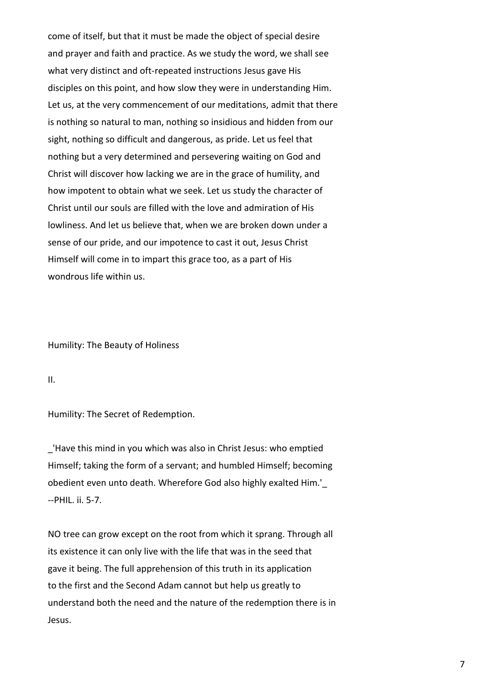come of itself, but that it must be made the object of special desire and prayer and faith and practice. As we study the word, we shall see what very distinct and oft-repeated instructions Jesus gave His disciples on this point, and how slow they were in understanding Him. Let us, at the very commencement of our meditations, admit that there is nothing so natural to man, nothing so insidious and hidden from our sight, nothing so difficult and dangerous, as pride. Let us feel that nothing but a very determined and persevering waiting on God and Christ will discover how lacking we are in the grace of humility, and how impotent to obtain what we seek. Let us study the character of Christ until our souls are filled with the love and admiration of His lowliness. And let us believe that, when we are broken down under a sense of our pride, and our impotence to cast it out, Jesus Christ Himself will come in to impart this grace too, as a part of His wondrous life within us.

Humility: The Beauty of Holiness

II.

Humility: The Secret of Redemption.

\_'Have this mind in you which was also in Christ Jesus: who emptied Himself; taking the form of a servant; and humbled Himself; becoming obedient even unto death. Wherefore God also highly exalted Him.'\_ --PHIL. ii. 5-7.

NO tree can grow except on the root from which it sprang. Through all its existence it can only live with the life that was in the seed that gave it being. The full apprehension of this truth in its application to the first and the Second Adam cannot but help us greatly to understand both the need and the nature of the redemption there is in Jesus.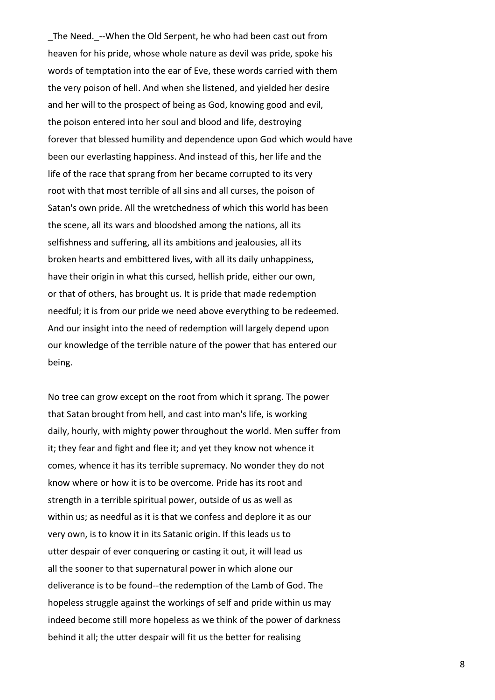The Need. --When the Old Serpent, he who had been cast out from heaven for his pride, whose whole nature as devil was pride, spoke his words of temptation into the ear of Eve, these words carried with them the very poison of hell. And when she listened, and yielded her desire and her will to the prospect of being as God, knowing good and evil, the poison entered into her soul and blood and life, destroying forever that blessed humility and dependence upon God which would have been our everlasting happiness. And instead of this, her life and the life of the race that sprang from her became corrupted to its very root with that most terrible of all sins and all curses, the poison of Satan's own pride. All the wretchedness of which this world has been the scene, all its wars and bloodshed among the nations, all its selfishness and suffering, all its ambitions and jealousies, all its broken hearts and embittered lives, with all its daily unhappiness, have their origin in what this cursed, hellish pride, either our own, or that of others, has brought us. It is pride that made redemption needful; it is from our pride we need above everything to be redeemed. And our insight into the need of redemption will largely depend upon our knowledge of the terrible nature of the power that has entered our being.

No tree can grow except on the root from which it sprang. The power that Satan brought from hell, and cast into man's life, is working daily, hourly, with mighty power throughout the world. Men suffer from it; they fear and fight and flee it; and yet they know not whence it comes, whence it has its terrible supremacy. No wonder they do not know where or how it is to be overcome. Pride has its root and strength in a terrible spiritual power, outside of us as well as within us; as needful as it is that we confess and deplore it as our very own, is to know it in its Satanic origin. If this leads us to utter despair of ever conquering or casting it out, it will lead us all the sooner to that supernatural power in which alone our deliverance is to be found--the redemption of the Lamb of God. The hopeless struggle against the workings of self and pride within us may indeed become still more hopeless as we think of the power of darkness behind it all; the utter despair will fit us the better for realising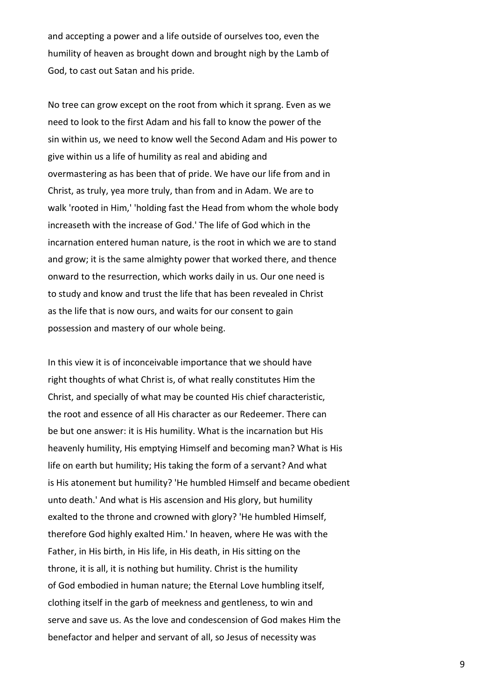and accepting a power and a life outside of ourselves too, even the humility of heaven as brought down and brought nigh by the Lamb of God, to cast out Satan and his pride.

No tree can grow except on the root from which it sprang. Even as we need to look to the first Adam and his fall to know the power of the sin within us, we need to know well the Second Adam and His power to give within us a life of humility as real and abiding and overmastering as has been that of pride. We have our life from and in Christ, as truly, yea more truly, than from and in Adam. We are to walk 'rooted in Him,' 'holding fast the Head from whom the whole body increaseth with the increase of God.' The life of God which in the incarnation entered human nature, is the root in which we are to stand and grow; it is the same almighty power that worked there, and thence onward to the resurrection, which works daily in us. Our one need is to study and know and trust the life that has been revealed in Christ as the life that is now ours, and waits for our consent to gain possession and mastery of our whole being.

In this view it is of inconceivable importance that we should have right thoughts of what Christ is, of what really constitutes Him the Christ, and specially of what may be counted His chief characteristic, the root and essence of all His character as our Redeemer. There can be but one answer: it is His humility. What is the incarnation but His heavenly humility, His emptying Himself and becoming man? What is His life on earth but humility; His taking the form of a servant? And what is His atonement but humility? 'He humbled Himself and became obedient unto death.' And what is His ascension and His glory, but humility exalted to the throne and crowned with glory? 'He humbled Himself, therefore God highly exalted Him.' In heaven, where He was with the Father, in His birth, in His life, in His death, in His sitting on the throne, it is all, it is nothing but humility. Christ is the humility of God embodied in human nature; the Eternal Love humbling itself, clothing itself in the garb of meekness and gentleness, to win and serve and save us. As the love and condescension of God makes Him the benefactor and helper and servant of all, so Jesus of necessity was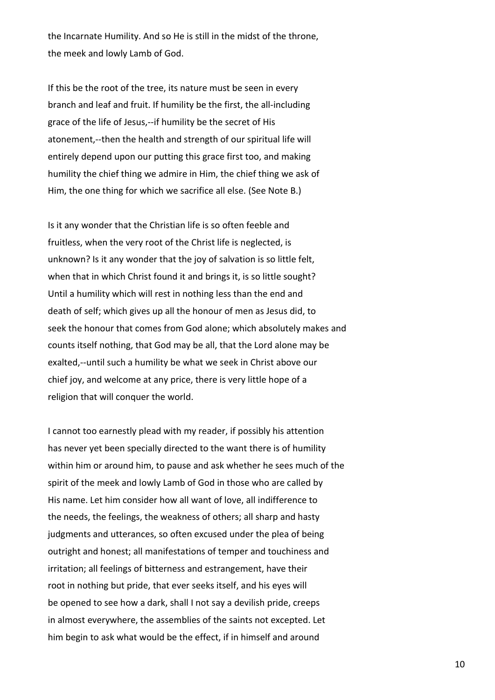the Incarnate Humility. And so He is still in the midst of the throne, the meek and lowly Lamb of God.

If this be the root of the tree, its nature must be seen in every branch and leaf and fruit. If humility be the first, the all-including grace of the life of Jesus,--if humility be the secret of His atonement,--then the health and strength of our spiritual life will entirely depend upon our putting this grace first too, and making humility the chief thing we admire in Him, the chief thing we ask of Him, the one thing for which we sacrifice all else. (See Note B.)

Is it any wonder that the Christian life is so often feeble and fruitless, when the very root of the Christ life is neglected, is unknown? Is it any wonder that the joy of salvation is so little felt, when that in which Christ found it and brings it, is so little sought? Until a humility which will rest in nothing less than the end and death of self; which gives up all the honour of men as Jesus did, to seek the honour that comes from God alone; which absolutely makes and counts itself nothing, that God may be all, that the Lord alone may be exalted,--until such a humility be what we seek in Christ above our chief joy, and welcome at any price, there is very little hope of a religion that will conquer the world.

I cannot too earnestly plead with my reader, if possibly his attention has never yet been specially directed to the want there is of humility within him or around him, to pause and ask whether he sees much of the spirit of the meek and lowly Lamb of God in those who are called by His name. Let him consider how all want of love, all indifference to the needs, the feelings, the weakness of others; all sharp and hasty judgments and utterances, so often excused under the plea of being outright and honest; all manifestations of temper and touchiness and irritation; all feelings of bitterness and estrangement, have their root in nothing but pride, that ever seeks itself, and his eyes will be opened to see how a dark, shall I not say a devilish pride, creeps in almost everywhere, the assemblies of the saints not excepted. Let him begin to ask what would be the effect, if in himself and around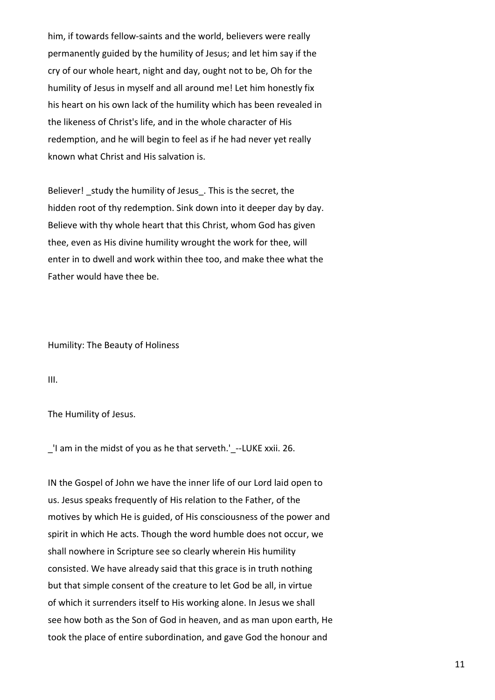him, if towards fellow-saints and the world, believers were really permanently guided by the humility of Jesus; and let him say if the cry of our whole heart, night and day, ought not to be, Oh for the humility of Jesus in myself and all around me! Let him honestly fix his heart on his own lack of the humility which has been revealed in the likeness of Christ's life, and in the whole character of His redemption, and he will begin to feel as if he had never yet really known what Christ and His salvation is.

Believer! study the humility of Jesus . This is the secret, the hidden root of thy redemption. Sink down into it deeper day by day. Believe with thy whole heart that this Christ, whom God has given thee, even as His divine humility wrought the work for thee, will enter in to dwell and work within thee too, and make thee what the Father would have thee be.

Humility: The Beauty of Holiness

III.

The Humility of Jesus.

\_'I am in the midst of you as he that serveth.'\_--LUKE xxii. 26.

IN the Gospel of John we have the inner life of our Lord laid open to us. Jesus speaks frequently of His relation to the Father, of the motives by which He is guided, of His consciousness of the power and spirit in which He acts. Though the word humble does not occur, we shall nowhere in Scripture see so clearly wherein His humility consisted. We have already said that this grace is in truth nothing but that simple consent of the creature to let God be all, in virtue of which it surrenders itself to His working alone. In Jesus we shall see how both as the Son of God in heaven, and as man upon earth, He took the place of entire subordination, and gave God the honour and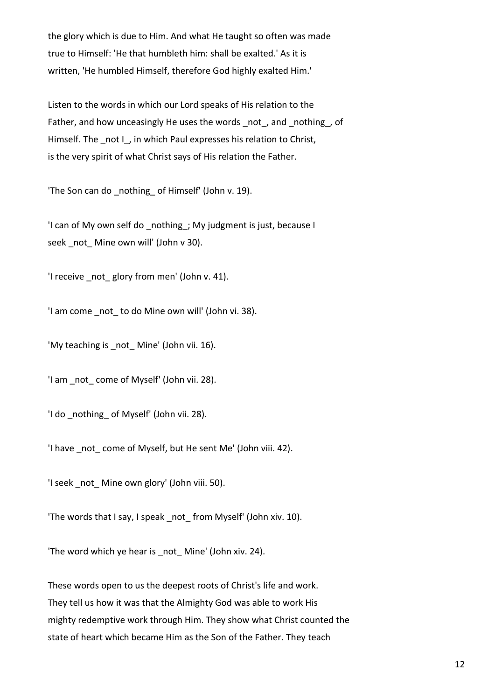the glory which is due to Him. And what He taught so often was made true to Himself: 'He that humbleth him: shall be exalted.' As it is written, 'He humbled Himself, therefore God highly exalted Him.'

Listen to the words in which our Lord speaks of His relation to the Father, and how unceasingly He uses the words \_not\_, and \_nothing\_, of Himself. The not I, in which Paul expresses his relation to Christ, is the very spirit of what Christ says of His relation the Father.

'The Son can do nothing of Himself' (John v. 19).

'I can of My own self do nothing ; My judgment is just, because I seek not Mine own will' (John v 30).

'I receive not glory from men' (John v. 41).

'I am come not to do Mine own will' (John vi. 38).

'My teaching is not Mine' (John vii. 16).

'I am not come of Myself' (John vii. 28).

'I do \_nothing\_ of Myself' (John vii. 28).

'I have not come of Myself, but He sent Me' (John viii. 42).

'I seek not Mine own glory' (John viii. 50).

'The words that I say, I speak not from Myself' (John xiv. 10).

'The word which ye hear is not Mine' (John xiv. 24).

These words open to us the deepest roots of Christ's life and work. They tell us how it was that the Almighty God was able to work His mighty redemptive work through Him. They show what Christ counted the state of heart which became Him as the Son of the Father. They teach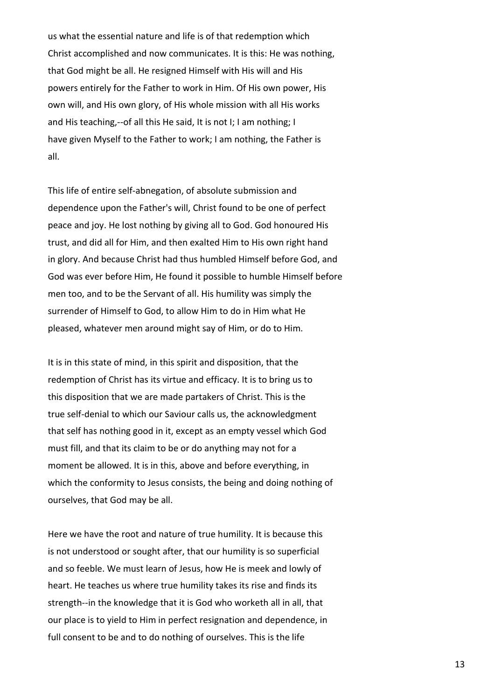us what the essential nature and life is of that redemption which Christ accomplished and now communicates. It is this: He was nothing, that God might be all. He resigned Himself with His will and His powers entirely for the Father to work in Him. Of His own power, His own will, and His own glory, of His whole mission with all His works and His teaching,--of all this He said, It is not I; I am nothing; I have given Myself to the Father to work; I am nothing, the Father is all.

This life of entire self-abnegation, of absolute submission and dependence upon the Father's will, Christ found to be one of perfect peace and joy. He lost nothing by giving all to God. God honoured His trust, and did all for Him, and then exalted Him to His own right hand in glory. And because Christ had thus humbled Himself before God, and God was ever before Him, He found it possible to humble Himself before men too, and to be the Servant of all. His humility was simply the surrender of Himself to God, to allow Him to do in Him what He pleased, whatever men around might say of Him, or do to Him.

It is in this state of mind, in this spirit and disposition, that the redemption of Christ has its virtue and efficacy. It is to bring us to this disposition that we are made partakers of Christ. This is the true self-denial to which our Saviour calls us, the acknowledgment that self has nothing good in it, except as an empty vessel which God must fill, and that its claim to be or do anything may not for a moment be allowed. It is in this, above and before everything, in which the conformity to Jesus consists, the being and doing nothing of ourselves, that God may be all.

Here we have the root and nature of true humility. It is because this is not understood or sought after, that our humility is so superficial and so feeble. We must learn of Jesus, how He is meek and lowly of heart. He teaches us where true humility takes its rise and finds its strength--in the knowledge that it is God who worketh all in all, that our place is to yield to Him in perfect resignation and dependence, in full consent to be and to do nothing of ourselves. This is the life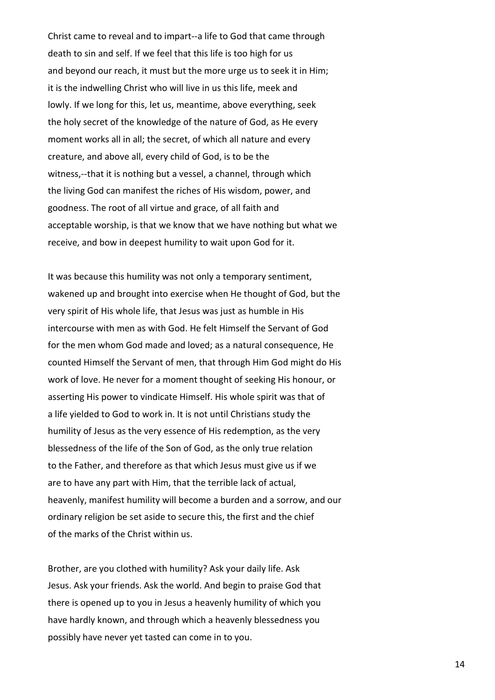Christ came to reveal and to impart--a life to God that came through death to sin and self. If we feel that this life is too high for us and beyond our reach, it must but the more urge us to seek it in Him; it is the indwelling Christ who will live in us this life, meek and lowly. If we long for this, let us, meantime, above everything, seek the holy secret of the knowledge of the nature of God, as He every moment works all in all; the secret, of which all nature and every creature, and above all, every child of God, is to be the witness,--that it is nothing but a vessel, a channel, through which the living God can manifest the riches of His wisdom, power, and goodness. The root of all virtue and grace, of all faith and acceptable worship, is that we know that we have nothing but what we receive, and bow in deepest humility to wait upon God for it.

It was because this humility was not only a temporary sentiment, wakened up and brought into exercise when He thought of God, but the very spirit of His whole life, that Jesus was just as humble in His intercourse with men as with God. He felt Himself the Servant of God for the men whom God made and loved; as a natural consequence, He counted Himself the Servant of men, that through Him God might do His work of love. He never for a moment thought of seeking His honour, or asserting His power to vindicate Himself. His whole spirit was that of a life yielded to God to work in. It is not until Christians study the humility of Jesus as the very essence of His redemption, as the very blessedness of the life of the Son of God, as the only true relation to the Father, and therefore as that which Jesus must give us if we are to have any part with Him, that the terrible lack of actual, heavenly, manifest humility will become a burden and a sorrow, and our ordinary religion be set aside to secure this, the first and the chief of the marks of the Christ within us.

Brother, are you clothed with humility? Ask your daily life. Ask Jesus. Ask your friends. Ask the world. And begin to praise God that there is opened up to you in Jesus a heavenly humility of which you have hardly known, and through which a heavenly blessedness you possibly have never yet tasted can come in to you.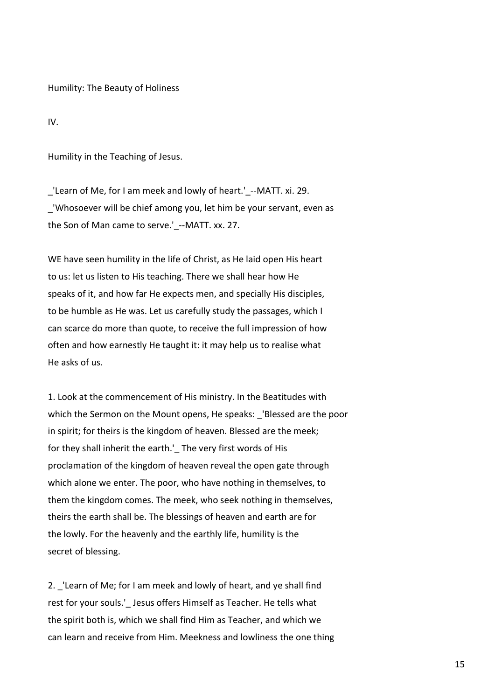Humility: The Beauty of Holiness

IV.

Humility in the Teaching of Jesus.

\_'Learn of Me, for I am meek and lowly of heart.'\_--MATT. xi. 29. \_'Whosoever will be chief among you, let him be your servant, even as the Son of Man came to serve.' --MATT. xx. 27.

WE have seen humility in the life of Christ, as He laid open His heart to us: let us listen to His teaching. There we shall hear how He speaks of it, and how far He expects men, and specially His disciples, to be humble as He was. Let us carefully study the passages, which I can scarce do more than quote, to receive the full impression of how often and how earnestly He taught it: it may help us to realise what He asks of us.

1. Look at the commencement of His ministry. In the Beatitudes with which the Sermon on the Mount opens, He speaks: 'Blessed are the poor in spirit; for theirs is the kingdom of heaven. Blessed are the meek; for they shall inherit the earth.' The very first words of His proclamation of the kingdom of heaven reveal the open gate through which alone we enter. The poor, who have nothing in themselves, to them the kingdom comes. The meek, who seek nothing in themselves, theirs the earth shall be. The blessings of heaven and earth are for the lowly. For the heavenly and the earthly life, humility is the secret of blessing.

2. \_'Learn of Me; for I am meek and lowly of heart, and ye shall find rest for your souls.' Jesus offers Himself as Teacher. He tells what the spirit both is, which we shall find Him as Teacher, and which we can learn and receive from Him. Meekness and lowliness the one thing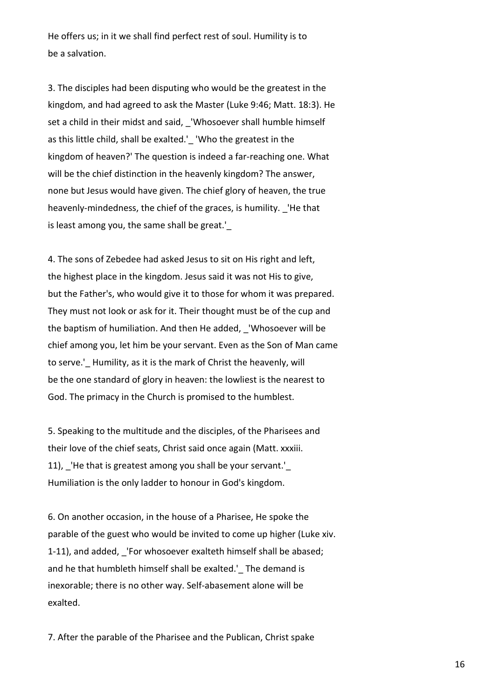He offers us; in it we shall find perfect rest of soul. Humility is to be a salvation.

3. The disciples had been disputing who would be the greatest in the kingdom, and had agreed to ask the Master (Luke 9:46; Matt. 18:3). He set a child in their midst and said, \_'Whosoever shall humble himself as this little child, shall be exalted.' 'Who the greatest in the kingdom of heaven?' The question is indeed a far-reaching one. What will be the chief distinction in the heavenly kingdom? The answer, none but Jesus would have given. The chief glory of heaven, the true heavenly-mindedness, the chief of the graces, is humility. 'He that is least among you, the same shall be great.'

4. The sons of Zebedee had asked Jesus to sit on His right and left, the highest place in the kingdom. Jesus said it was not His to give, but the Father's, who would give it to those for whom it was prepared. They must not look or ask for it. Their thought must be of the cup and the baptism of humiliation. And then He added, \_'Whosoever will be chief among you, let him be your servant. Even as the Son of Man came to serve.' Humility, as it is the mark of Christ the heavenly, will be the one standard of glory in heaven: the lowliest is the nearest to God. The primacy in the Church is promised to the humblest.

5. Speaking to the multitude and the disciples, of the Pharisees and their love of the chief seats, Christ said once again (Matt. xxxiii. 11), \_'He that is greatest among you shall be your servant.'\_ Humiliation is the only ladder to honour in God's kingdom.

6. On another occasion, in the house of a Pharisee, He spoke the parable of the guest who would be invited to come up higher (Luke xiv. 1-11), and added, 'For whosoever exalteth himself shall be abased; and he that humbleth himself shall be exalted.' The demand is inexorable; there is no other way. Self-abasement alone will be exalted.

7. After the parable of the Pharisee and the Publican, Christ spake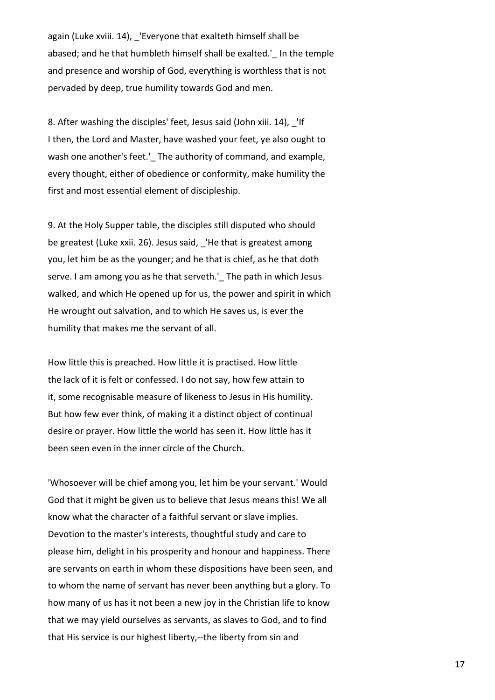again (Luke xviii. 14), 'Everyone that exalteth himself shall be abased; and he that humbleth himself shall be exalted.'\_ In the temple and presence and worship of God, everything is worthless that is not pervaded by deep, true humility towards God and men.

8. After washing the disciples' feet, Jesus said (John xiii. 14), \_'If I then, the Lord and Master, have washed your feet, ye also ought to wash one another's feet.' The authority of command, and example, every thought, either of obedience or conformity, make humility the first and most essential element of discipleship.

9. At the Holy Supper table, the disciples still disputed who should be greatest (Luke xxii. 26). Jesus said, 'He that is greatest among you, let him be as the younger; and he that is chief, as he that doth serve. I am among you as he that serveth.'\_ The path in which Jesus walked, and which He opened up for us, the power and spirit in which He wrought out salvation, and to which He saves us, is ever the humility that makes me the servant of all.

How little this is preached. How little it is practised. How little the lack of it is felt or confessed. I do not say, how few attain to it, some recognisable measure of likeness to Jesus in His humility. But how few ever think, of making it a distinct object of continual desire or prayer. How little the world has seen it. How little has it been seen even in the inner circle of the Church.

'Whosoever will be chief among you, let him be your servant.' Would God that it might be given us to believe that Jesus means this! We all know what the character of a faithful servant or slave implies. Devotion to the master's interests, thoughtful study and care to please him, delight in his prosperity and honour and happiness. There are servants on earth in whom these dispositions have been seen, and to whom the name of servant has never been anything but a glory. To how many of us has it not been a new joy in the Christian life to know that we may yield ourselves as servants, as slaves to God, and to find that His service is our highest liberty,--the liberty from sin and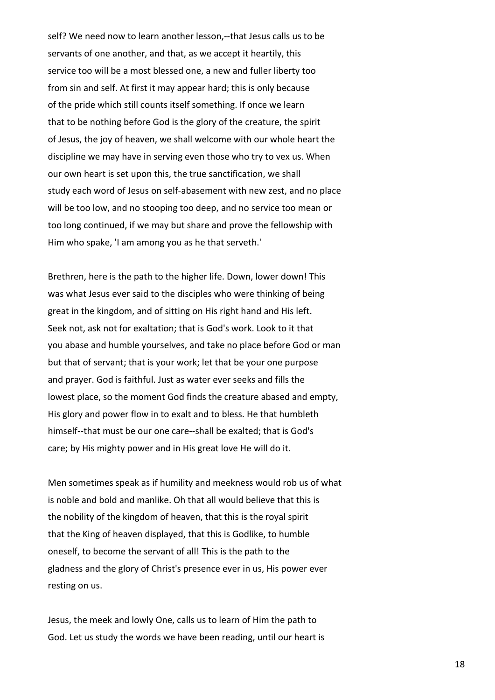self? We need now to learn another lesson,--that Jesus calls us to be servants of one another, and that, as we accept it heartily, this service too will be a most blessed one, a new and fuller liberty too from sin and self. At first it may appear hard; this is only because of the pride which still counts itself something. If once we learn that to be nothing before God is the glory of the creature, the spirit of Jesus, the joy of heaven, we shall welcome with our whole heart the discipline we may have in serving even those who try to vex us. When our own heart is set upon this, the true sanctification, we shall study each word of Jesus on self-abasement with new zest, and no place will be too low, and no stooping too deep, and no service too mean or too long continued, if we may but share and prove the fellowship with Him who spake, 'I am among you as he that serveth.'

Brethren, here is the path to the higher life. Down, lower down! This was what Jesus ever said to the disciples who were thinking of being great in the kingdom, and of sitting on His right hand and His left. Seek not, ask not for exaltation; that is God's work. Look to it that you abase and humble yourselves, and take no place before God or man but that of servant; that is your work; let that be your one purpose and prayer. God is faithful. Just as water ever seeks and fills the lowest place, so the moment God finds the creature abased and empty, His glory and power flow in to exalt and to bless. He that humbleth himself--that must be our one care--shall be exalted; that is God's care; by His mighty power and in His great love He will do it.

Men sometimes speak as if humility and meekness would rob us of what is noble and bold and manlike. Oh that all would believe that this is the nobility of the kingdom of heaven, that this is the royal spirit that the King of heaven displayed, that this is Godlike, to humble oneself, to become the servant of all! This is the path to the gladness and the glory of Christ's presence ever in us, His power ever resting on us.

Jesus, the meek and lowly One, calls us to learn of Him the path to God. Let us study the words we have been reading, until our heart is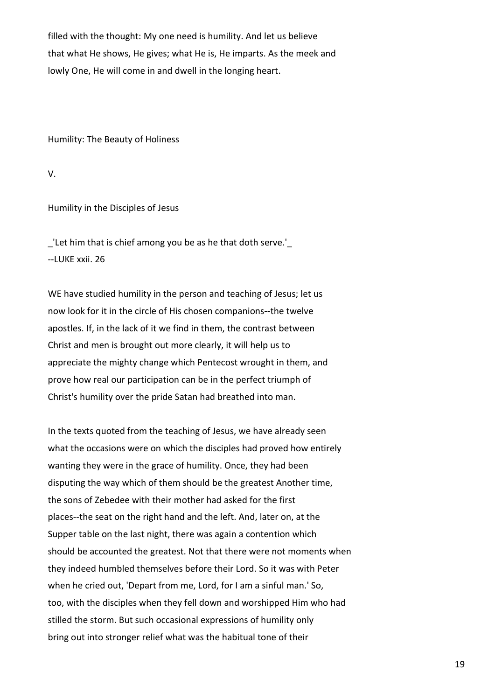filled with the thought: My one need is humility. And let us believe that what He shows, He gives; what He is, He imparts. As the meek and lowly One, He will come in and dwell in the longing heart.

Humility: The Beauty of Holiness

V.

Humility in the Disciples of Jesus

\_'Let him that is chief among you be as he that doth serve.'\_ --LUKE xxii. 26

WE have studied humility in the person and teaching of Jesus; let us now look for it in the circle of His chosen companions--the twelve apostles. If, in the lack of it we find in them, the contrast between Christ and men is brought out more clearly, it will help us to appreciate the mighty change which Pentecost wrought in them, and prove how real our participation can be in the perfect triumph of Christ's humility over the pride Satan had breathed into man.

In the texts quoted from the teaching of Jesus, we have already seen what the occasions were on which the disciples had proved how entirely wanting they were in the grace of humility. Once, they had been disputing the way which of them should be the greatest Another time, the sons of Zebedee with their mother had asked for the first places--the seat on the right hand and the left. And, later on, at the Supper table on the last night, there was again a contention which should be accounted the greatest. Not that there were not moments when they indeed humbled themselves before their Lord. So it was with Peter when he cried out, 'Depart from me, Lord, for I am a sinful man.' So, too, with the disciples when they fell down and worshipped Him who had stilled the storm. But such occasional expressions of humility only bring out into stronger relief what was the habitual tone of their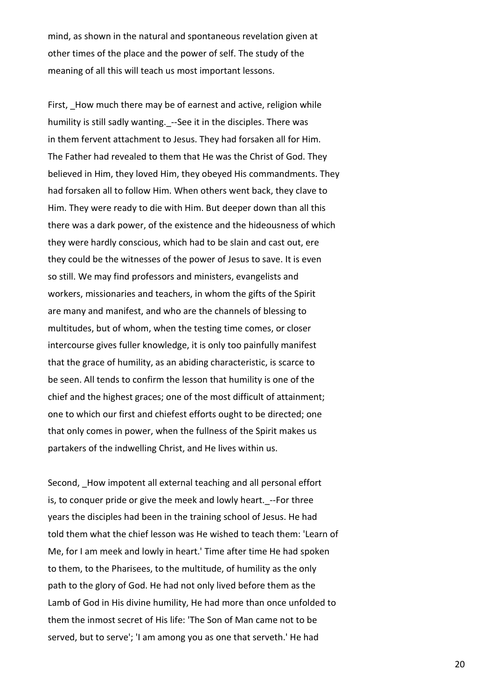mind, as shown in the natural and spontaneous revelation given at other times of the place and the power of self. The study of the meaning of all this will teach us most important lessons.

First, How much there may be of earnest and active, religion while humility is still sadly wanting.\_--See it in the disciples. There was in them fervent attachment to Jesus. They had forsaken all for Him. The Father had revealed to them that He was the Christ of God. They believed in Him, they loved Him, they obeyed His commandments. They had forsaken all to follow Him. When others went back, they clave to Him. They were ready to die with Him. But deeper down than all this there was a dark power, of the existence and the hideousness of which they were hardly conscious, which had to be slain and cast out, ere they could be the witnesses of the power of Jesus to save. It is even so still. We may find professors and ministers, evangelists and workers, missionaries and teachers, in whom the gifts of the Spirit are many and manifest, and who are the channels of blessing to multitudes, but of whom, when the testing time comes, or closer intercourse gives fuller knowledge, it is only too painfully manifest that the grace of humility, as an abiding characteristic, is scarce to be seen. All tends to confirm the lesson that humility is one of the chief and the highest graces; one of the most difficult of attainment; one to which our first and chiefest efforts ought to be directed; one that only comes in power, when the fullness of the Spirit makes us partakers of the indwelling Christ, and He lives within us.

Second, How impotent all external teaching and all personal effort is, to conquer pride or give the meek and lowly heart. --For three years the disciples had been in the training school of Jesus. He had told them what the chief lesson was He wished to teach them: 'Learn of Me, for I am meek and lowly in heart.' Time after time He had spoken to them, to the Pharisees, to the multitude, of humility as the only path to the glory of God. He had not only lived before them as the Lamb of God in His divine humility, He had more than once unfolded to them the inmost secret of His life: 'The Son of Man came not to be served, but to serve'; 'I am among you as one that serveth.' He had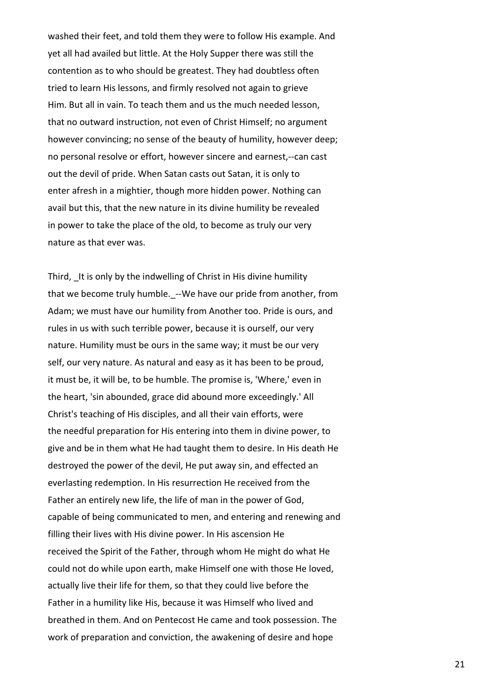washed their feet, and told them they were to follow His example. And yet all had availed but little. At the Holy Supper there was still the contention as to who should be greatest. They had doubtless often tried to learn His lessons, and firmly resolved not again to grieve Him. But all in vain. To teach them and us the much needed lesson, that no outward instruction, not even of Christ Himself; no argument however convincing; no sense of the beauty of humility, however deep; no personal resolve or effort, however sincere and earnest,--can cast out the devil of pride. When Satan casts out Satan, it is only to enter afresh in a mightier, though more hidden power. Nothing can avail but this, that the new nature in its divine humility be revealed in power to take the place of the old, to become as truly our very nature as that ever was.

Third, It is only by the indwelling of Christ in His divine humility that we become truly humble.\_--We have our pride from another, from Adam; we must have our humility from Another too. Pride is ours, and rules in us with such terrible power, because it is ourself, our very nature. Humility must be ours in the same way; it must be our very self, our very nature. As natural and easy as it has been to be proud, it must be, it will be, to be humble. The promise is, 'Where,' even in the heart, 'sin abounded, grace did abound more exceedingly.' All Christ's teaching of His disciples, and all their vain efforts, were the needful preparation for His entering into them in divine power, to give and be in them what He had taught them to desire. In His death He destroyed the power of the devil, He put away sin, and effected an everlasting redemption. In His resurrection He received from the Father an entirely new life, the life of man in the power of God, capable of being communicated to men, and entering and renewing and filling their lives with His divine power. In His ascension He received the Spirit of the Father, through whom He might do what He could not do while upon earth, make Himself one with those He loved, actually live their life for them, so that they could live before the Father in a humility like His, because it was Himself who lived and breathed in them. And on Pentecost He came and took possession. The work of preparation and conviction, the awakening of desire and hope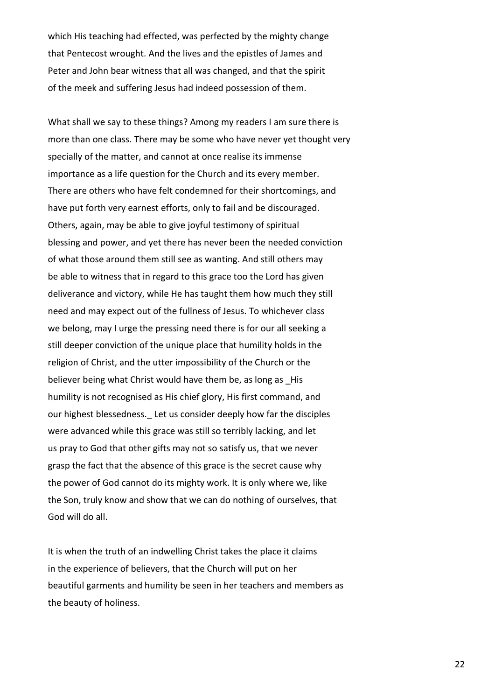which His teaching had effected, was perfected by the mighty change that Pentecost wrought. And the lives and the epistles of James and Peter and John bear witness that all was changed, and that the spirit of the meek and suffering Jesus had indeed possession of them.

What shall we say to these things? Among my readers I am sure there is more than one class. There may be some who have never yet thought very specially of the matter, and cannot at once realise its immense importance as a life question for the Church and its every member. There are others who have felt condemned for their shortcomings, and have put forth very earnest efforts, only to fail and be discouraged. Others, again, may be able to give joyful testimony of spiritual blessing and power, and yet there has never been the needed conviction of what those around them still see as wanting. And still others may be able to witness that in regard to this grace too the Lord has given deliverance and victory, while He has taught them how much they still need and may expect out of the fullness of Jesus. To whichever class we belong, may I urge the pressing need there is for our all seeking a still deeper conviction of the unique place that humility holds in the religion of Christ, and the utter impossibility of the Church or the believer being what Christ would have them be, as long as His humility is not recognised as His chief glory, His first command, and our highest blessedness. Let us consider deeply how far the disciples were advanced while this grace was still so terribly lacking, and let us pray to God that other gifts may not so satisfy us, that we never grasp the fact that the absence of this grace is the secret cause why the power of God cannot do its mighty work. It is only where we, like the Son, truly know and show that we can do nothing of ourselves, that God will do all.

It is when the truth of an indwelling Christ takes the place it claims in the experience of believers, that the Church will put on her beautiful garments and humility be seen in her teachers and members as the beauty of holiness.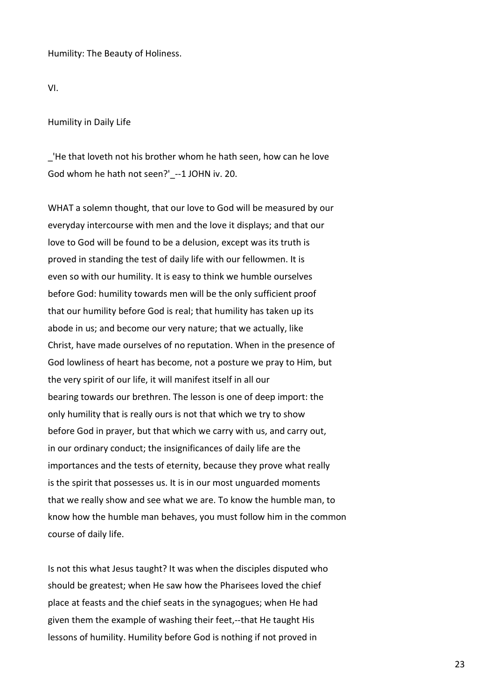Humility: The Beauty of Holiness.

VI.

Humility in Daily Life

\_'He that loveth not his brother whom he hath seen, how can he love God whom he hath not seen?' --1 JOHN iv. 20.

WHAT a solemn thought, that our love to God will be measured by our everyday intercourse with men and the love it displays; and that our love to God will be found to be a delusion, except was its truth is proved in standing the test of daily life with our fellowmen. It is even so with our humility. It is easy to think we humble ourselves before God: humility towards men will be the only sufficient proof that our humility before God is real; that humility has taken up its abode in us; and become our very nature; that we actually, like Christ, have made ourselves of no reputation. When in the presence of God lowliness of heart has become, not a posture we pray to Him, but the very spirit of our life, it will manifest itself in all our bearing towards our brethren. The lesson is one of deep import: the only humility that is really ours is not that which we try to show before God in prayer, but that which we carry with us, and carry out, in our ordinary conduct; the insignificances of daily life are the importances and the tests of eternity, because they prove what really is the spirit that possesses us. It is in our most unguarded moments that we really show and see what we are. To know the humble man, to know how the humble man behaves, you must follow him in the common course of daily life.

Is not this what Jesus taught? It was when the disciples disputed who should be greatest; when He saw how the Pharisees loved the chief place at feasts and the chief seats in the synagogues; when He had given them the example of washing their feet,--that He taught His lessons of humility. Humility before God is nothing if not proved in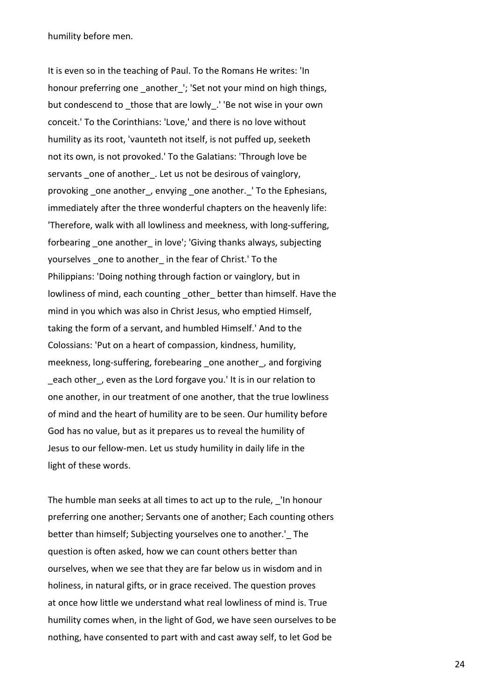humility before men.

It is even so in the teaching of Paul. To the Romans He writes: 'In honour preferring one another '; 'Set not your mind on high things, but condescend to those that are lowly. 'Be not wise in your own conceit.' To the Corinthians: 'Love,' and there is no love without humility as its root, 'vaunteth not itself, is not puffed up, seeketh not its own, is not provoked.' To the Galatians: 'Through love be servants one of another. Let us not be desirous of vainglory, provoking one another, envying one another. ' To the Ephesians, immediately after the three wonderful chapters on the heavenly life: 'Therefore, walk with all lowliness and meekness, with long-suffering, forbearing one another in love'; 'Giving thanks always, subjecting yourselves one to another in the fear of Christ.' To the Philippians: 'Doing nothing through faction or vainglory, but in lowliness of mind, each counting other better than himself. Have the mind in you which was also in Christ Jesus, who emptied Himself, taking the form of a servant, and humbled Himself.' And to the Colossians: 'Put on a heart of compassion, kindness, humility, meekness, long-suffering, forebearing one another, and forgiving each other, even as the Lord forgave you.' It is in our relation to one another, in our treatment of one another, that the true lowliness of mind and the heart of humility are to be seen. Our humility before God has no value, but as it prepares us to reveal the humility of Jesus to our fellow-men. Let us study humility in daily life in the light of these words.

The humble man seeks at all times to act up to the rule, 'In honour preferring one another; Servants one of another; Each counting others better than himself; Subjecting yourselves one to another.' The question is often asked, how we can count others better than ourselves, when we see that they are far below us in wisdom and in holiness, in natural gifts, or in grace received. The question proves at once how little we understand what real lowliness of mind is. True humility comes when, in the light of God, we have seen ourselves to be nothing, have consented to part with and cast away self, to let God be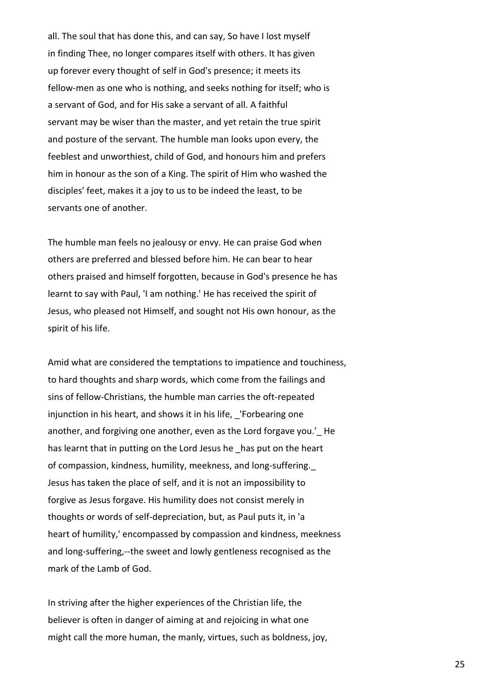all. The soul that has done this, and can say, So have I lost myself in finding Thee, no longer compares itself with others. It has given up forever every thought of self in God's presence; it meets its fellow-men as one who is nothing, and seeks nothing for itself; who is a servant of God, and for His sake a servant of all. A faithful servant may be wiser than the master, and yet retain the true spirit and posture of the servant. The humble man looks upon every, the feeblest and unworthiest, child of God, and honours him and prefers him in honour as the son of a King. The spirit of Him who washed the disciples' feet, makes it a joy to us to be indeed the least, to be servants one of another.

The humble man feels no jealousy or envy. He can praise God when others are preferred and blessed before him. He can bear to hear others praised and himself forgotten, because in God's presence he has learnt to say with Paul, 'I am nothing.' He has received the spirit of Jesus, who pleased not Himself, and sought not His own honour, as the spirit of his life.

Amid what are considered the temptations to impatience and touchiness, to hard thoughts and sharp words, which come from the failings and sins of fellow-Christians, the humble man carries the oft-repeated injunction in his heart, and shows it in his life, 'Forbearing one another, and forgiving one another, even as the Lord forgave you.' He has learnt that in putting on the Lord Jesus he has put on the heart of compassion, kindness, humility, meekness, and long-suffering.\_ Jesus has taken the place of self, and it is not an impossibility to forgive as Jesus forgave. His humility does not consist merely in thoughts or words of self-depreciation, but, as Paul puts it, in 'a heart of humility,' encompassed by compassion and kindness, meekness and long-suffering,--the sweet and lowly gentleness recognised as the mark of the Lamb of God.

In striving after the higher experiences of the Christian life, the believer is often in danger of aiming at and rejoicing in what one might call the more human, the manly, virtues, such as boldness, joy,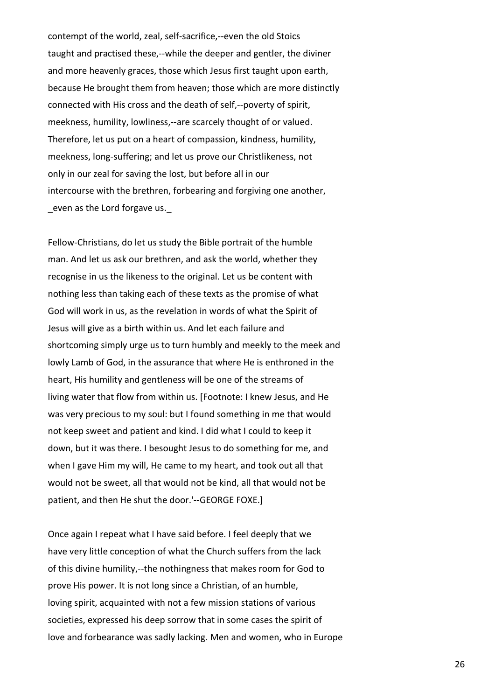contempt of the world, zeal, self-sacrifice,--even the old Stoics taught and practised these,--while the deeper and gentler, the diviner and more heavenly graces, those which Jesus first taught upon earth, because He brought them from heaven; those which are more distinctly connected with His cross and the death of self,--poverty of spirit, meekness, humility, lowliness,--are scarcely thought of or valued. Therefore, let us put on a heart of compassion, kindness, humility, meekness, long-suffering; and let us prove our Christlikeness, not only in our zeal for saving the lost, but before all in our intercourse with the brethren, forbearing and forgiving one another, even as the Lord forgave us.

Fellow-Christians, do let us study the Bible portrait of the humble man. And let us ask our brethren, and ask the world, whether they recognise in us the likeness to the original. Let us be content with nothing less than taking each of these texts as the promise of what God will work in us, as the revelation in words of what the Spirit of Jesus will give as a birth within us. And let each failure and shortcoming simply urge us to turn humbly and meekly to the meek and lowly Lamb of God, in the assurance that where He is enthroned in the heart, His humility and gentleness will be one of the streams of living water that flow from within us. [Footnote: I knew Jesus, and He was very precious to my soul: but I found something in me that would not keep sweet and patient and kind. I did what I could to keep it down, but it was there. I besought Jesus to do something for me, and when I gave Him my will, He came to my heart, and took out all that would not be sweet, all that would not be kind, all that would not be patient, and then He shut the door.'--GEORGE FOXE.]

Once again I repeat what I have said before. I feel deeply that we have very little conception of what the Church suffers from the lack of this divine humility,--the nothingness that makes room for God to prove His power. It is not long since a Christian, of an humble, loving spirit, acquainted with not a few mission stations of various societies, expressed his deep sorrow that in some cases the spirit of love and forbearance was sadly lacking. Men and women, who in Europe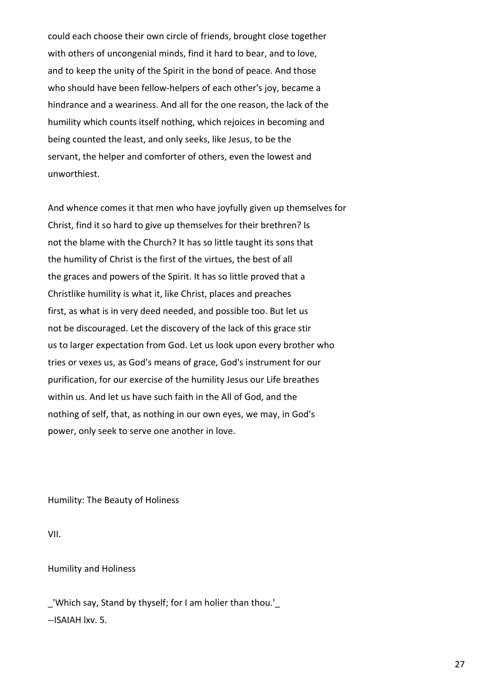could each choose their own circle of friends, brought close together with others of uncongenial minds, find it hard to bear, and to love, and to keep the unity of the Spirit in the bond of peace. And those who should have been fellow-helpers of each other's joy, became a hindrance and a weariness. And all for the one reason, the lack of the humility which counts itself nothing, which rejoices in becoming and being counted the least, and only seeks, like Jesus, to be the servant, the helper and comforter of others, even the lowest and unworthiest.

And whence comes it that men who have joyfully given up themselves for Christ, find it so hard to give up themselves for their brethren? Is not the blame with the Church? It has so little taught its sons that the humility of Christ is the first of the virtues, the best of all the graces and powers of the Spirit. It has so little proved that a Christlike humility is what it, like Christ, places and preaches first, as what is in very deed needed, and possible too. But let us not be discouraged. Let the discovery of the lack of this grace stir us to larger expectation from God. Let us look upon every brother who tries or vexes us, as God's means of grace, God's instrument for our purification, for our exercise of the humility Jesus our Life breathes within us. And let us have such faith in the All of God, and the nothing of self, that, as nothing in our own eyes, we may, in God's power, only seek to serve one another in love.

Humility: The Beauty of Holiness

VII.

Humility and Holiness

\_'Which say, Stand by thyself; for I am holier than thou.'\_ --ISAIAH lxv. 5.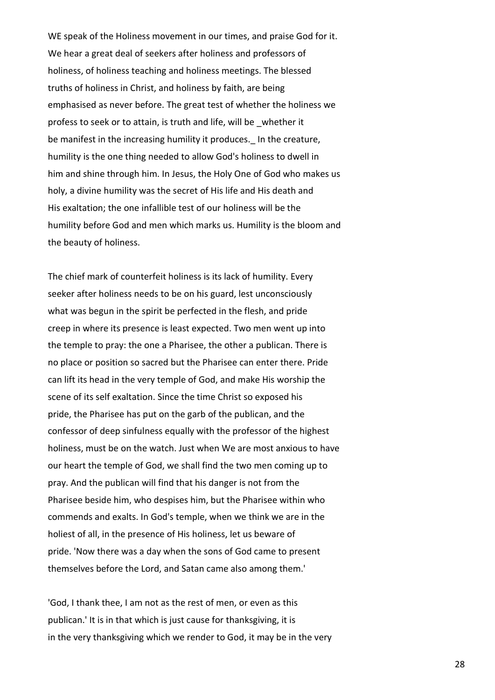WE speak of the Holiness movement in our times, and praise God for it. We hear a great deal of seekers after holiness and professors of holiness, of holiness teaching and holiness meetings. The blessed truths of holiness in Christ, and holiness by faith, are being emphasised as never before. The great test of whether the holiness we profess to seek or to attain, is truth and life, will be \_whether it be manifest in the increasing humility it produces. In the creature, humility is the one thing needed to allow God's holiness to dwell in him and shine through him. In Jesus, the Holy One of God who makes us holy, a divine humility was the secret of His life and His death and His exaltation; the one infallible test of our holiness will be the humility before God and men which marks us. Humility is the bloom and the beauty of holiness.

The chief mark of counterfeit holiness is its lack of humility. Every seeker after holiness needs to be on his guard, lest unconsciously what was begun in the spirit be perfected in the flesh, and pride creep in where its presence is least expected. Two men went up into the temple to pray: the one a Pharisee, the other a publican. There is no place or position so sacred but the Pharisee can enter there. Pride can lift its head in the very temple of God, and make His worship the scene of its self exaltation. Since the time Christ so exposed his pride, the Pharisee has put on the garb of the publican, and the confessor of deep sinfulness equally with the professor of the highest holiness, must be on the watch. Just when We are most anxious to have our heart the temple of God, we shall find the two men coming up to pray. And the publican will find that his danger is not from the Pharisee beside him, who despises him, but the Pharisee within who commends and exalts. In God's temple, when we think we are in the holiest of all, in the presence of His holiness, let us beware of pride. 'Now there was a day when the sons of God came to present themselves before the Lord, and Satan came also among them.'

'God, I thank thee, I am not as the rest of men, or even as this publican.' It is in that which is just cause for thanksgiving, it is in the very thanksgiving which we render to God, it may be in the very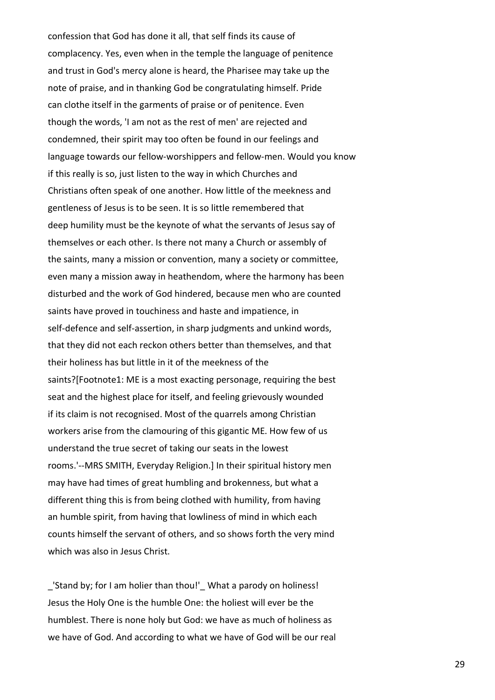confession that God has done it all, that self finds its cause of complacency. Yes, even when in the temple the language of penitence and trust in God's mercy alone is heard, the Pharisee may take up the note of praise, and in thanking God be congratulating himself. Pride can clothe itself in the garments of praise or of penitence. Even though the words, 'I am not as the rest of men' are rejected and condemned, their spirit may too often be found in our feelings and language towards our fellow-worshippers and fellow-men. Would you know if this really is so, just listen to the way in which Churches and Christians often speak of one another. How little of the meekness and gentleness of Jesus is to be seen. It is so little remembered that deep humility must be the keynote of what the servants of Jesus say of themselves or each other. Is there not many a Church or assembly of the saints, many a mission or convention, many a society or committee, even many a mission away in heathendom, where the harmony has been disturbed and the work of God hindered, because men who are counted saints have proved in touchiness and haste and impatience, in self-defence and self-assertion, in sharp judgments and unkind words, that they did not each reckon others better than themselves, and that their holiness has but little in it of the meekness of the saints?[Footnote1: ME is a most exacting personage, requiring the best seat and the highest place for itself, and feeling grievously wounded if its claim is not recognised. Most of the quarrels among Christian workers arise from the clamouring of this gigantic ME. How few of us understand the true secret of taking our seats in the lowest rooms.'--MRS SMITH, Everyday Religion.] In their spiritual history men may have had times of great humbling and brokenness, but what a different thing this is from being clothed with humility, from having an humble spirit, from having that lowliness of mind in which each counts himself the servant of others, and so shows forth the very mind which was also in Jesus Christ.

\_'Stand by; for I am holier than thou!'\_ What a parody on holiness! Jesus the Holy One is the humble One: the holiest will ever be the humblest. There is none holy but God: we have as much of holiness as we have of God. And according to what we have of God will be our real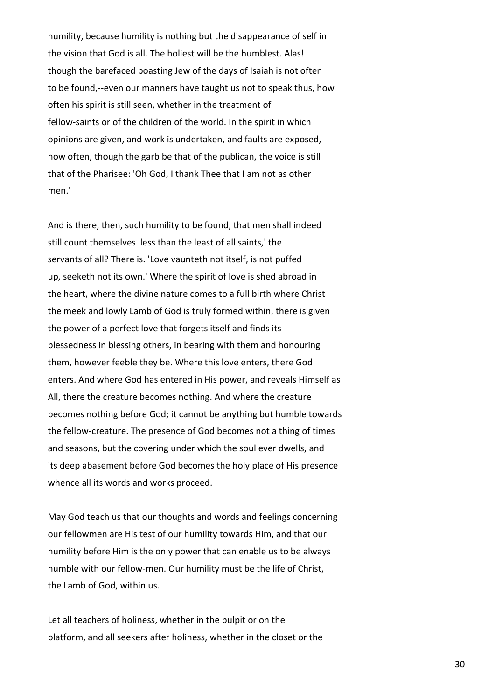humility, because humility is nothing but the disappearance of self in the vision that God is all. The holiest will be the humblest. Alas! though the barefaced boasting Jew of the days of Isaiah is not often to be found,--even our manners have taught us not to speak thus, how often his spirit is still seen, whether in the treatment of fellow-saints or of the children of the world. In the spirit in which opinions are given, and work is undertaken, and faults are exposed, how often, though the garb be that of the publican, the voice is still that of the Pharisee: 'Oh God, I thank Thee that I am not as other men.'

And is there, then, such humility to be found, that men shall indeed still count themselves 'less than the least of all saints,' the servants of all? There is. 'Love vaunteth not itself, is not puffed up, seeketh not its own.' Where the spirit of love is shed abroad in the heart, where the divine nature comes to a full birth where Christ the meek and lowly Lamb of God is truly formed within, there is given the power of a perfect love that forgets itself and finds its blessedness in blessing others, in bearing with them and honouring them, however feeble they be. Where this love enters, there God enters. And where God has entered in His power, and reveals Himself as All, there the creature becomes nothing. And where the creature becomes nothing before God; it cannot be anything but humble towards the fellow-creature. The presence of God becomes not a thing of times and seasons, but the covering under which the soul ever dwells, and its deep abasement before God becomes the holy place of His presence whence all its words and works proceed.

May God teach us that our thoughts and words and feelings concerning our fellowmen are His test of our humility towards Him, and that our humility before Him is the only power that can enable us to be always humble with our fellow-men. Our humility must be the life of Christ, the Lamb of God, within us.

Let all teachers of holiness, whether in the pulpit or on the platform, and all seekers after holiness, whether in the closet or the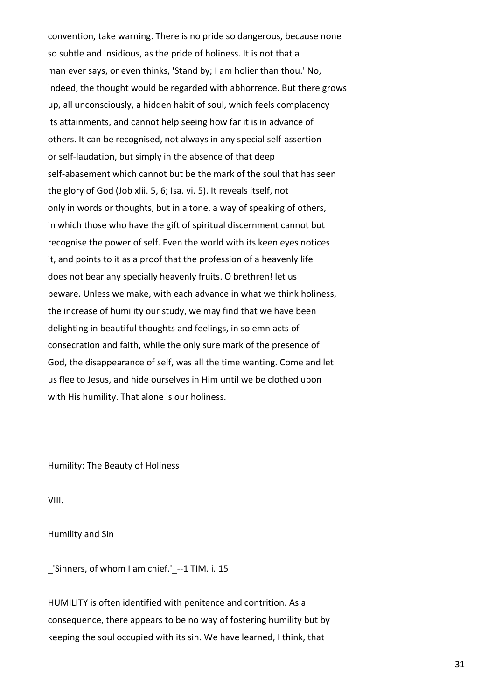convention, take warning. There is no pride so dangerous, because none so subtle and insidious, as the pride of holiness. It is not that a man ever says, or even thinks, 'Stand by; I am holier than thou.' No, indeed, the thought would be regarded with abhorrence. But there grows up, all unconsciously, a hidden habit of soul, which feels complacency its attainments, and cannot help seeing how far it is in advance of others. It can be recognised, not always in any special self-assertion or self-laudation, but simply in the absence of that deep self-abasement which cannot but be the mark of the soul that has seen the glory of God (Job xlii. 5, 6; Isa. vi. 5). It reveals itself, not only in words or thoughts, but in a tone, a way of speaking of others, in which those who have the gift of spiritual discernment cannot but recognise the power of self. Even the world with its keen eyes notices it, and points to it as a proof that the profession of a heavenly life does not bear any specially heavenly fruits. O brethren! let us beware. Unless we make, with each advance in what we think holiness, the increase of humility our study, we may find that we have been delighting in beautiful thoughts and feelings, in solemn acts of consecration and faith, while the only sure mark of the presence of God, the disappearance of self, was all the time wanting. Come and let us flee to Jesus, and hide ourselves in Him until we be clothed upon with His humility. That alone is our holiness.

Humility: The Beauty of Holiness

VIII.

Humility and Sin

\_'Sinners, of whom I am chief.'\_--1 TIM. i. 15

HUMILITY is often identified with penitence and contrition. As a consequence, there appears to be no way of fostering humility but by keeping the soul occupied with its sin. We have learned, I think, that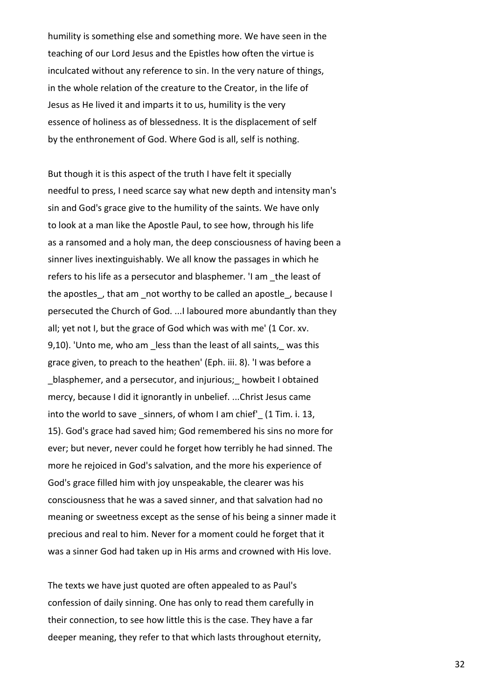humility is something else and something more. We have seen in the teaching of our Lord Jesus and the Epistles how often the virtue is inculcated without any reference to sin. In the very nature of things, in the whole relation of the creature to the Creator, in the life of Jesus as He lived it and imparts it to us, humility is the very essence of holiness as of blessedness. It is the displacement of self by the enthronement of God. Where God is all, self is nothing.

But though it is this aspect of the truth I have felt it specially needful to press, I need scarce say what new depth and intensity man's sin and God's grace give to the humility of the saints. We have only to look at a man like the Apostle Paul, to see how, through his life as a ransomed and a holy man, the deep consciousness of having been a sinner lives inextinguishably. We all know the passages in which he refers to his life as a persecutor and blasphemer. 'I am \_the least of the apostles, that am not worthy to be called an apostle, because I persecuted the Church of God. ...I laboured more abundantly than they all; yet not I, but the grace of God which was with me' (1 Cor. xv. 9,10). 'Unto me, who am less than the least of all saints, was this grace given, to preach to the heathen' (Eph. iii. 8). 'I was before a blasphemer, and a persecutor, and injurious; howbeit I obtained mercy, because I did it ignorantly in unbelief. ...Christ Jesus came into the world to save sinners, of whom I am chief' (1 Tim. i. 13, 15). God's grace had saved him; God remembered his sins no more for ever; but never, never could he forget how terribly he had sinned. The more he rejoiced in God's salvation, and the more his experience of God's grace filled him with joy unspeakable, the clearer was his consciousness that he was a saved sinner, and that salvation had no meaning or sweetness except as the sense of his being a sinner made it precious and real to him. Never for a moment could he forget that it was a sinner God had taken up in His arms and crowned with His love.

The texts we have just quoted are often appealed to as Paul's confession of daily sinning. One has only to read them carefully in their connection, to see how little this is the case. They have a far deeper meaning, they refer to that which lasts throughout eternity,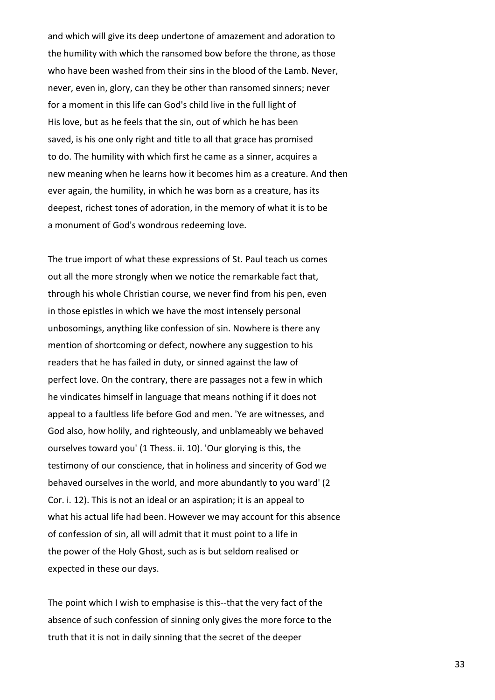and which will give its deep undertone of amazement and adoration to the humility with which the ransomed bow before the throne, as those who have been washed from their sins in the blood of the Lamb. Never, never, even in, glory, can they be other than ransomed sinners; never for a moment in this life can God's child live in the full light of His love, but as he feels that the sin, out of which he has been saved, is his one only right and title to all that grace has promised to do. The humility with which first he came as a sinner, acquires a new meaning when he learns how it becomes him as a creature. And then ever again, the humility, in which he was born as a creature, has its deepest, richest tones of adoration, in the memory of what it is to be a monument of God's wondrous redeeming love.

The true import of what these expressions of St. Paul teach us comes out all the more strongly when we notice the remarkable fact that, through his whole Christian course, we never find from his pen, even in those epistles in which we have the most intensely personal unbosomings, anything like confession of sin. Nowhere is there any mention of shortcoming or defect, nowhere any suggestion to his readers that he has failed in duty, or sinned against the law of perfect love. On the contrary, there are passages not a few in which he vindicates himself in language that means nothing if it does not appeal to a faultless life before God and men. 'Ye are witnesses, and God also, how holily, and righteously, and unblameably we behaved ourselves toward you' (1 Thess. ii. 10). 'Our glorying is this, the testimony of our conscience, that in holiness and sincerity of God we behaved ourselves in the world, and more abundantly to you ward' (2 Cor. i. 12). This is not an ideal or an aspiration; it is an appeal to what his actual life had been. However we may account for this absence of confession of sin, all will admit that it must point to a life in the power of the Holy Ghost, such as is but seldom realised or expected in these our days.

The point which I wish to emphasise is this--that the very fact of the absence of such confession of sinning only gives the more force to the truth that it is not in daily sinning that the secret of the deeper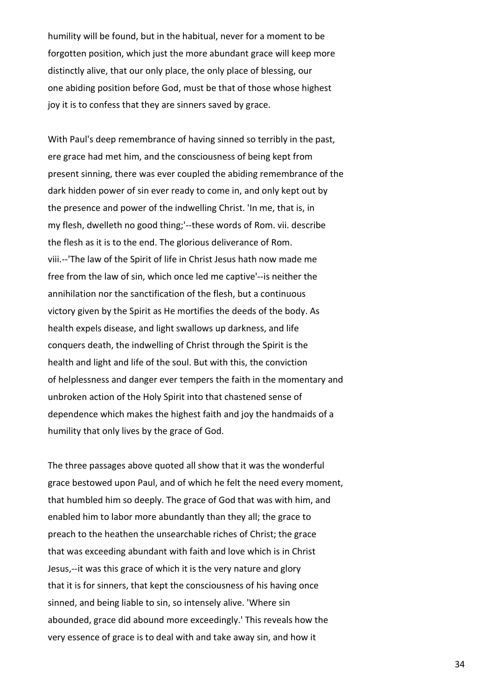humility will be found, but in the habitual, never for a moment to be forgotten position, which just the more abundant grace will keep more distinctly alive, that our only place, the only place of blessing, our one abiding position before God, must be that of those whose highest joy it is to confess that they are sinners saved by grace.

With Paul's deep remembrance of having sinned so terribly in the past, ere grace had met him, and the consciousness of being kept from present sinning, there was ever coupled the abiding remembrance of the dark hidden power of sin ever ready to come in, and only kept out by the presence and power of the indwelling Christ. 'In me, that is, in my flesh, dwelleth no good thing;'--these words of Rom. vii. describe the flesh as it is to the end. The glorious deliverance of Rom. viii.--'The law of the Spirit of life in Christ Jesus hath now made me free from the law of sin, which once led me captive'--is neither the annihilation nor the sanctification of the flesh, but a continuous victory given by the Spirit as He mortifies the deeds of the body. As health expels disease, and light swallows up darkness, and life conquers death, the indwelling of Christ through the Spirit is the health and light and life of the soul. But with this, the conviction of helplessness and danger ever tempers the faith in the momentary and unbroken action of the Holy Spirit into that chastened sense of dependence which makes the highest faith and joy the handmaids of a humility that only lives by the grace of God.

The three passages above quoted all show that it was the wonderful grace bestowed upon Paul, and of which he felt the need every moment, that humbled him so deeply. The grace of God that was with him, and enabled him to labor more abundantly than they all; the grace to preach to the heathen the unsearchable riches of Christ; the grace that was exceeding abundant with faith and love which is in Christ Jesus,--it was this grace of which it is the very nature and glory that it is for sinners, that kept the consciousness of his having once sinned, and being liable to sin, so intensely alive. 'Where sin abounded, grace did abound more exceedingly.' This reveals how the very essence of grace is to deal with and take away sin, and how it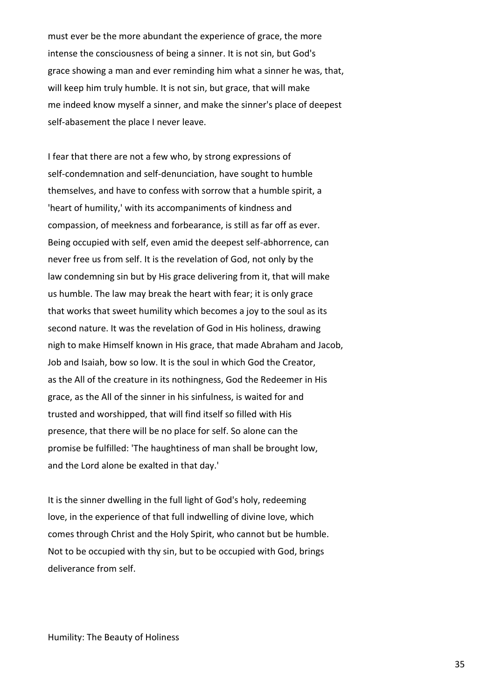must ever be the more abundant the experience of grace, the more intense the consciousness of being a sinner. It is not sin, but God's grace showing a man and ever reminding him what a sinner he was, that, will keep him truly humble. It is not sin, but grace, that will make me indeed know myself a sinner, and make the sinner's place of deepest self-abasement the place I never leave.

I fear that there are not a few who, by strong expressions of self-condemnation and self-denunciation, have sought to humble themselves, and have to confess with sorrow that a humble spirit, a 'heart of humility,' with its accompaniments of kindness and compassion, of meekness and forbearance, is still as far off as ever. Being occupied with self, even amid the deepest self-abhorrence, can never free us from self. It is the revelation of God, not only by the law condemning sin but by His grace delivering from it, that will make us humble. The law may break the heart with fear; it is only grace that works that sweet humility which becomes a joy to the soul as its second nature. It was the revelation of God in His holiness, drawing nigh to make Himself known in His grace, that made Abraham and Jacob, Job and Isaiah, bow so low. It is the soul in which God the Creator, as the All of the creature in its nothingness, God the Redeemer in His grace, as the All of the sinner in his sinfulness, is waited for and trusted and worshipped, that will find itself so filled with His presence, that there will be no place for self. So alone can the promise be fulfilled: 'The haughtiness of man shall be brought low, and the Lord alone be exalted in that day.'

It is the sinner dwelling in the full light of God's holy, redeeming love, in the experience of that full indwelling of divine love, which comes through Christ and the Holy Spirit, who cannot but be humble. Not to be occupied with thy sin, but to be occupied with God, brings deliverance from self.

Humility: The Beauty of Holiness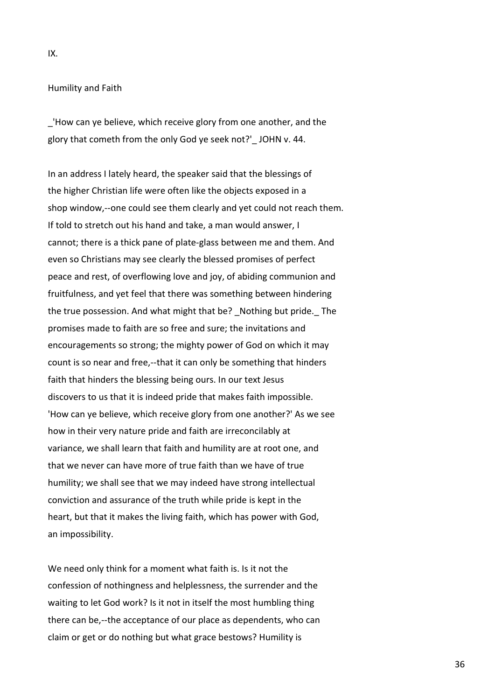#### IX.

### Humility and Faith

\_'How can ye believe, which receive glory from one another, and the glory that cometh from the only God ye seek not?' JOHN v. 44.

In an address I lately heard, the speaker said that the blessings of the higher Christian life were often like the objects exposed in a shop window,--one could see them clearly and yet could not reach them. If told to stretch out his hand and take, a man would answer, I cannot; there is a thick pane of plate-glass between me and them. And even so Christians may see clearly the blessed promises of perfect peace and rest, of overflowing love and joy, of abiding communion and fruitfulness, and yet feel that there was something between hindering the true possession. And what might that be? Nothing but pride. The promises made to faith are so free and sure; the invitations and encouragements so strong; the mighty power of God on which it may count is so near and free,--that it can only be something that hinders faith that hinders the blessing being ours. In our text Jesus discovers to us that it is indeed pride that makes faith impossible. 'How can ye believe, which receive glory from one another?' As we see how in their very nature pride and faith are irreconcilably at variance, we shall learn that faith and humility are at root one, and that we never can have more of true faith than we have of true humility; we shall see that we may indeed have strong intellectual conviction and assurance of the truth while pride is kept in the heart, but that it makes the living faith, which has power with God, an impossibility.

We need only think for a moment what faith is. Is it not the confession of nothingness and helplessness, the surrender and the waiting to let God work? Is it not in itself the most humbling thing there can be,--the acceptance of our place as dependents, who can claim or get or do nothing but what grace bestows? Humility is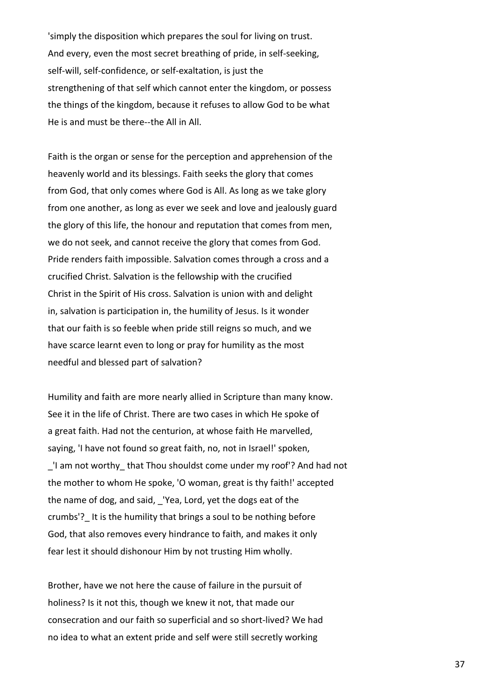'simply the disposition which prepares the soul for living on trust. And every, even the most secret breathing of pride, in self-seeking, self-will, self-confidence, or self-exaltation, is just the strengthening of that self which cannot enter the kingdom, or possess the things of the kingdom, because it refuses to allow God to be what He is and must be there--the All in All.

Faith is the organ or sense for the perception and apprehension of the heavenly world and its blessings. Faith seeks the glory that comes from God, that only comes where God is All. As long as we take glory from one another, as long as ever we seek and love and jealously guard the glory of this life, the honour and reputation that comes from men, we do not seek, and cannot receive the glory that comes from God. Pride renders faith impossible. Salvation comes through a cross and a crucified Christ. Salvation is the fellowship with the crucified Christ in the Spirit of His cross. Salvation is union with and delight in, salvation is participation in, the humility of Jesus. Is it wonder that our faith is so feeble when pride still reigns so much, and we have scarce learnt even to long or pray for humility as the most needful and blessed part of salvation?

Humility and faith are more nearly allied in Scripture than many know. See it in the life of Christ. There are two cases in which He spoke of a great faith. Had not the centurion, at whose faith He marvelled, saying, 'I have not found so great faith, no, not in Israel!' spoken, \_'I am not worthy\_ that Thou shouldst come under my roof'? And had not the mother to whom He spoke, 'O woman, great is thy faith!' accepted the name of dog, and said, \_'Yea, Lord, yet the dogs eat of the crumbs'? It is the humility that brings a soul to be nothing before God, that also removes every hindrance to faith, and makes it only fear lest it should dishonour Him by not trusting Him wholly.

Brother, have we not here the cause of failure in the pursuit of holiness? Is it not this, though we knew it not, that made our consecration and our faith so superficial and so short-lived? We had no idea to what an extent pride and self were still secretly working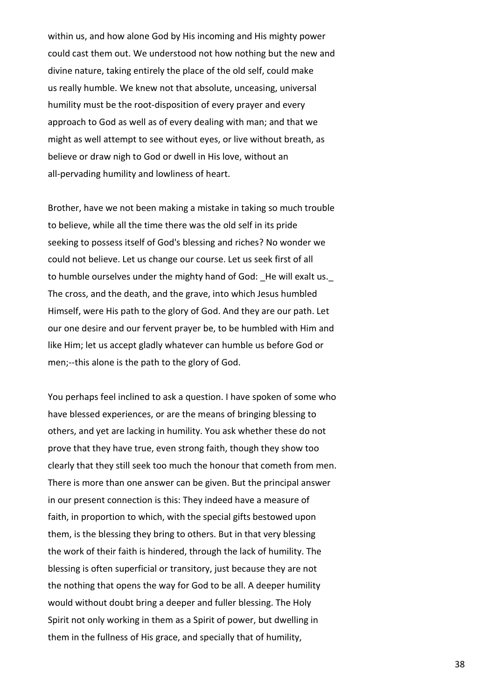within us, and how alone God by His incoming and His mighty power could cast them out. We understood not how nothing but the new and divine nature, taking entirely the place of the old self, could make us really humble. We knew not that absolute, unceasing, universal humility must be the root-disposition of every prayer and every approach to God as well as of every dealing with man; and that we might as well attempt to see without eyes, or live without breath, as believe or draw nigh to God or dwell in His love, without an all-pervading humility and lowliness of heart.

Brother, have we not been making a mistake in taking so much trouble to believe, while all the time there was the old self in its pride seeking to possess itself of God's blessing and riches? No wonder we could not believe. Let us change our course. Let us seek first of all to humble ourselves under the mighty hand of God: He will exalt us. The cross, and the death, and the grave, into which Jesus humbled Himself, were His path to the glory of God. And they are our path. Let our one desire and our fervent prayer be, to be humbled with Him and like Him; let us accept gladly whatever can humble us before God or men;--this alone is the path to the glory of God.

You perhaps feel inclined to ask a question. I have spoken of some who have blessed experiences, or are the means of bringing blessing to others, and yet are lacking in humility. You ask whether these do not prove that they have true, even strong faith, though they show too clearly that they still seek too much the honour that cometh from men. There is more than one answer can be given. But the principal answer in our present connection is this: They indeed have a measure of faith, in proportion to which, with the special gifts bestowed upon them, is the blessing they bring to others. But in that very blessing the work of their faith is hindered, through the lack of humility. The blessing is often superficial or transitory, just because they are not the nothing that opens the way for God to be all. A deeper humility would without doubt bring a deeper and fuller blessing. The Holy Spirit not only working in them as a Spirit of power, but dwelling in them in the fullness of His grace, and specially that of humility,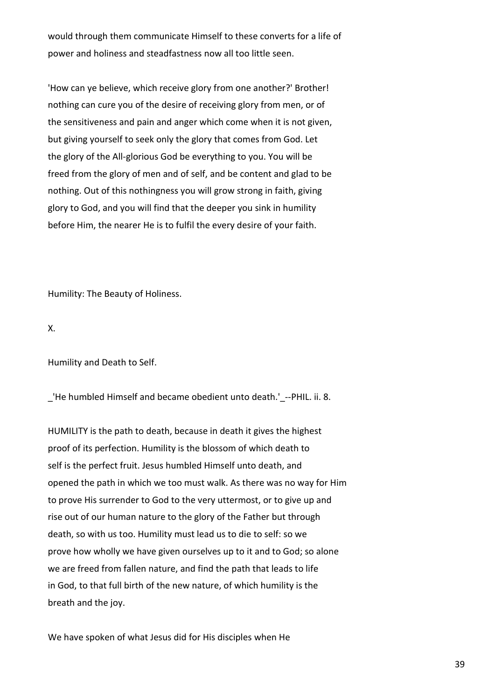would through them communicate Himself to these converts for a life of power and holiness and steadfastness now all too little seen.

'How can ye believe, which receive glory from one another?' Brother! nothing can cure you of the desire of receiving glory from men, or of the sensitiveness and pain and anger which come when it is not given, but giving yourself to seek only the glory that comes from God. Let the glory of the All-glorious God be everything to you. You will be freed from the glory of men and of self, and be content and glad to be nothing. Out of this nothingness you will grow strong in faith, giving glory to God, and you will find that the deeper you sink in humility before Him, the nearer He is to fulfil the every desire of your faith.

Humility: The Beauty of Holiness.

X.

Humility and Death to Self.

\_'He humbled Himself and became obedient unto death.'\_--PHIL. ii. 8.

HUMILITY is the path to death, because in death it gives the highest proof of its perfection. Humility is the blossom of which death to self is the perfect fruit. Jesus humbled Himself unto death, and opened the path in which we too must walk. As there was no way for Him to prove His surrender to God to the very uttermost, or to give up and rise out of our human nature to the glory of the Father but through death, so with us too. Humility must lead us to die to self: so we prove how wholly we have given ourselves up to it and to God; so alone we are freed from fallen nature, and find the path that leads to life in God, to that full birth of the new nature, of which humility is the breath and the joy.

We have spoken of what Jesus did for His disciples when He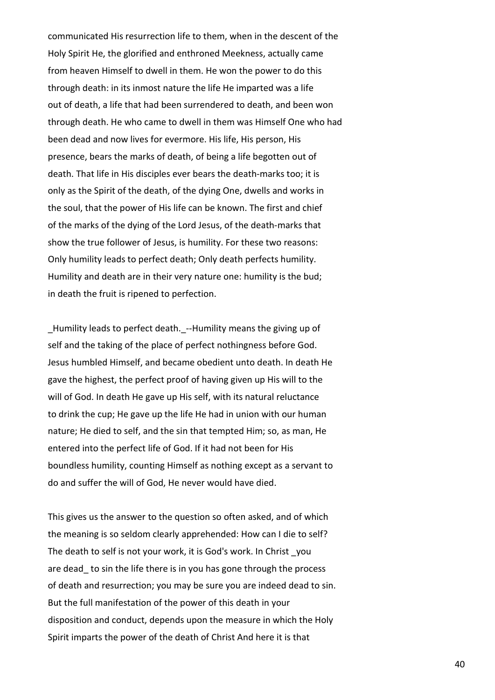communicated His resurrection life to them, when in the descent of the Holy Spirit He, the glorified and enthroned Meekness, actually came from heaven Himself to dwell in them. He won the power to do this through death: in its inmost nature the life He imparted was a life out of death, a life that had been surrendered to death, and been won through death. He who came to dwell in them was Himself One who had been dead and now lives for evermore. His life, His person, His presence, bears the marks of death, of being a life begotten out of death. That life in His disciples ever bears the death-marks too; it is only as the Spirit of the death, of the dying One, dwells and works in the soul, that the power of His life can be known. The first and chief of the marks of the dying of the Lord Jesus, of the death-marks that show the true follower of Jesus, is humility. For these two reasons: Only humility leads to perfect death; Only death perfects humility. Humility and death are in their very nature one: humility is the bud; in death the fruit is ripened to perfection.

\_Humility leads to perfect death.\_--Humility means the giving up of self and the taking of the place of perfect nothingness before God. Jesus humbled Himself, and became obedient unto death. In death He gave the highest, the perfect proof of having given up His will to the will of God. In death He gave up His self, with its natural reluctance to drink the cup; He gave up the life He had in union with our human nature; He died to self, and the sin that tempted Him; so, as man, He entered into the perfect life of God. If it had not been for His boundless humility, counting Himself as nothing except as a servant to do and suffer the will of God, He never would have died.

This gives us the answer to the question so often asked, and of which the meaning is so seldom clearly apprehended: How can I die to self? The death to self is not your work, it is God's work. In Christ you are dead to sin the life there is in you has gone through the process of death and resurrection; you may be sure you are indeed dead to sin. But the full manifestation of the power of this death in your disposition and conduct, depends upon the measure in which the Holy Spirit imparts the power of the death of Christ And here it is that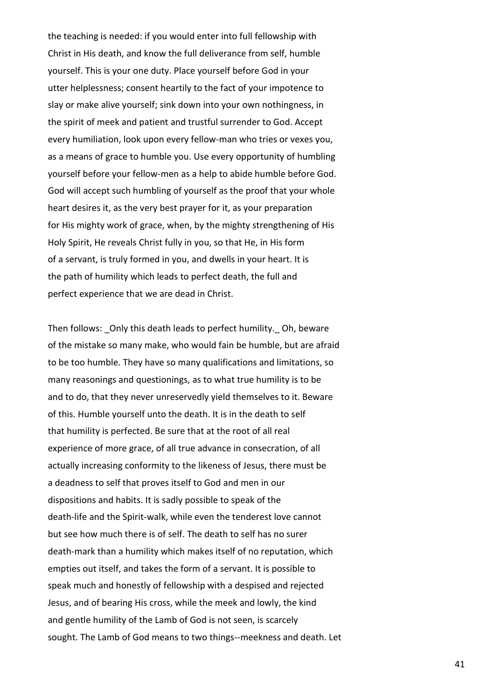the teaching is needed: if you would enter into full fellowship with Christ in His death, and know the full deliverance from self, humble yourself. This is your one duty. Place yourself before God in your utter helplessness; consent heartily to the fact of your impotence to slay or make alive yourself; sink down into your own nothingness, in the spirit of meek and patient and trustful surrender to God. Accept every humiliation, look upon every fellow-man who tries or vexes you, as a means of grace to humble you. Use every opportunity of humbling yourself before your fellow-men as a help to abide humble before God. God will accept such humbling of yourself as the proof that your whole heart desires it, as the very best prayer for it, as your preparation for His mighty work of grace, when, by the mighty strengthening of His Holy Spirit, He reveals Christ fully in you, so that He, in His form of a servant, is truly formed in you, and dwells in your heart. It is the path of humility which leads to perfect death, the full and perfect experience that we are dead in Christ.

Then follows: \_Only this death leads to perfect humility.\_ Oh, beware of the mistake so many make, who would fain be humble, but are afraid to be too humble. They have so many qualifications and limitations, so many reasonings and questionings, as to what true humility is to be and to do, that they never unreservedly yield themselves to it. Beware of this. Humble yourself unto the death. It is in the death to self that humility is perfected. Be sure that at the root of all real experience of more grace, of all true advance in consecration, of all actually increasing conformity to the likeness of Jesus, there must be a deadness to self that proves itself to God and men in our dispositions and habits. It is sadly possible to speak of the death-life and the Spirit-walk, while even the tenderest love cannot but see how much there is of self. The death to self has no surer death-mark than a humility which makes itself of no reputation, which empties out itself, and takes the form of a servant. It is possible to speak much and honestly of fellowship with a despised and rejected Jesus, and of bearing His cross, while the meek and lowly, the kind and gentle humility of the Lamb of God is not seen, is scarcely sought. The Lamb of God means to two things--meekness and death. Let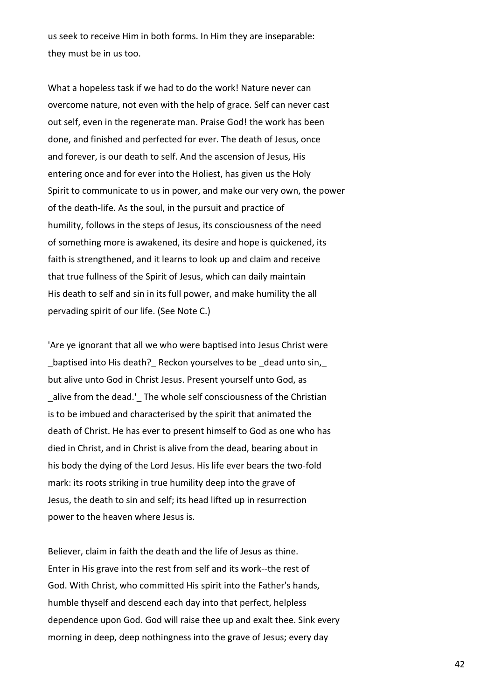us seek to receive Him in both forms. In Him they are inseparable: they must be in us too.

What a hopeless task if we had to do the work! Nature never can overcome nature, not even with the help of grace. Self can never cast out self, even in the regenerate man. Praise God! the work has been done, and finished and perfected for ever. The death of Jesus, once and forever, is our death to self. And the ascension of Jesus, His entering once and for ever into the Holiest, has given us the Holy Spirit to communicate to us in power, and make our very own, the power of the death-life. As the soul, in the pursuit and practice of humility, follows in the steps of Jesus, its consciousness of the need of something more is awakened, its desire and hope is quickened, its faith is strengthened, and it learns to look up and claim and receive that true fullness of the Spirit of Jesus, which can daily maintain His death to self and sin in its full power, and make humility the all pervading spirit of our life. (See Note C.)

'Are ye ignorant that all we who were baptised into Jesus Christ were baptised into His death? Reckon yourselves to be dead unto sin, but alive unto God in Christ Jesus. Present yourself unto God, as \_alive from the dead.'\_ The whole self consciousness of the Christian is to be imbued and characterised by the spirit that animated the death of Christ. He has ever to present himself to God as one who has died in Christ, and in Christ is alive from the dead, bearing about in his body the dying of the Lord Jesus. His life ever bears the two-fold mark: its roots striking in true humility deep into the grave of Jesus, the death to sin and self; its head lifted up in resurrection power to the heaven where Jesus is.

Believer, claim in faith the death and the life of Jesus as thine. Enter in His grave into the rest from self and its work--the rest of God. With Christ, who committed His spirit into the Father's hands, humble thyself and descend each day into that perfect, helpless dependence upon God. God will raise thee up and exalt thee. Sink every morning in deep, deep nothingness into the grave of Jesus; every day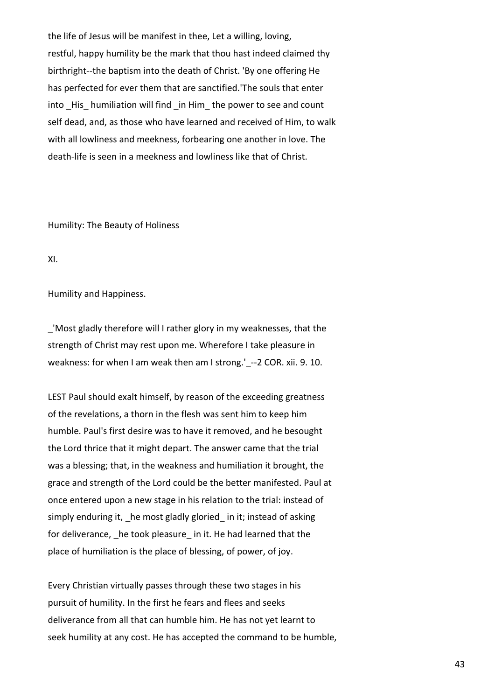the life of Jesus will be manifest in thee, Let a willing, loving, restful, happy humility be the mark that thou hast indeed claimed thy birthright--the baptism into the death of Christ. 'By one offering He has perfected for ever them that are sanctified.'The souls that enter into His humiliation will find \_in Him\_ the power to see and count self dead, and, as those who have learned and received of Him, to walk with all lowliness and meekness, forbearing one another in love. The death-life is seen in a meekness and lowliness like that of Christ.

Humility: The Beauty of Holiness

XI.

Humility and Happiness.

\_'Most gladly therefore will I rather glory in my weaknesses, that the strength of Christ may rest upon me. Wherefore I take pleasure in weakness: for when I am weak then am I strong.' --2 COR. xii. 9. 10.

LEST Paul should exalt himself, by reason of the exceeding greatness of the revelations, a thorn in the flesh was sent him to keep him humble. Paul's first desire was to have it removed, and he besought the Lord thrice that it might depart. The answer came that the trial was a blessing; that, in the weakness and humiliation it brought, the grace and strength of the Lord could be the better manifested. Paul at once entered upon a new stage in his relation to the trial: instead of simply enduring it, he most gladly gloried in it; instead of asking for deliverance, he took pleasure in it. He had learned that the place of humiliation is the place of blessing, of power, of joy.

Every Christian virtually passes through these two stages in his pursuit of humility. In the first he fears and flees and seeks deliverance from all that can humble him. He has not yet learnt to seek humility at any cost. He has accepted the command to be humble,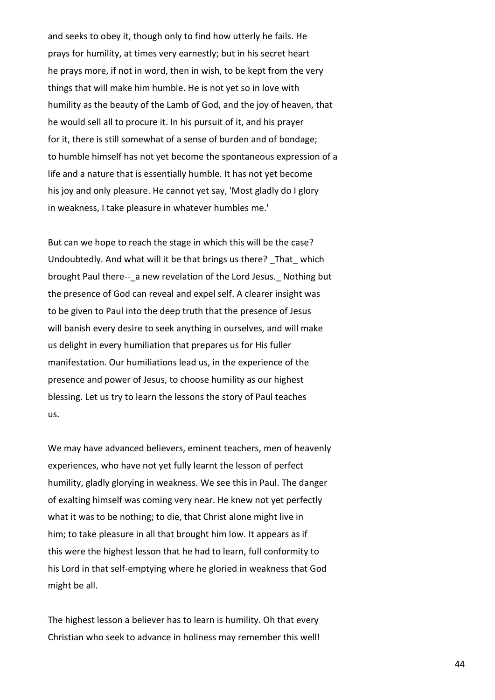and seeks to obey it, though only to find how utterly he fails. He prays for humility, at times very earnestly; but in his secret heart he prays more, if not in word, then in wish, to be kept from the very things that will make him humble. He is not yet so in love with humility as the beauty of the Lamb of God, and the joy of heaven, that he would sell all to procure it. In his pursuit of it, and his prayer for it, there is still somewhat of a sense of burden and of bondage; to humble himself has not yet become the spontaneous expression of a life and a nature that is essentially humble. It has not yet become his joy and only pleasure. He cannot yet say, 'Most gladly do I glory in weakness, I take pleasure in whatever humbles me.'

But can we hope to reach the stage in which this will be the case? Undoubtedly. And what will it be that brings us there? That which brought Paul there--\_a new revelation of the Lord Jesus. Nothing but the presence of God can reveal and expel self. A clearer insight was to be given to Paul into the deep truth that the presence of Jesus will banish every desire to seek anything in ourselves, and will make us delight in every humiliation that prepares us for His fuller manifestation. Our humiliations lead us, in the experience of the presence and power of Jesus, to choose humility as our highest blessing. Let us try to learn the lessons the story of Paul teaches us.

We may have advanced believers, eminent teachers, men of heavenly experiences, who have not yet fully learnt the lesson of perfect humility, gladly glorying in weakness. We see this in Paul. The danger of exalting himself was coming very near. He knew not yet perfectly what it was to be nothing; to die, that Christ alone might live in him; to take pleasure in all that brought him low. It appears as if this were the highest lesson that he had to learn, full conformity to his Lord in that self-emptying where he gloried in weakness that God might be all.

The highest lesson a believer has to learn is humility. Oh that every Christian who seek to advance in holiness may remember this well!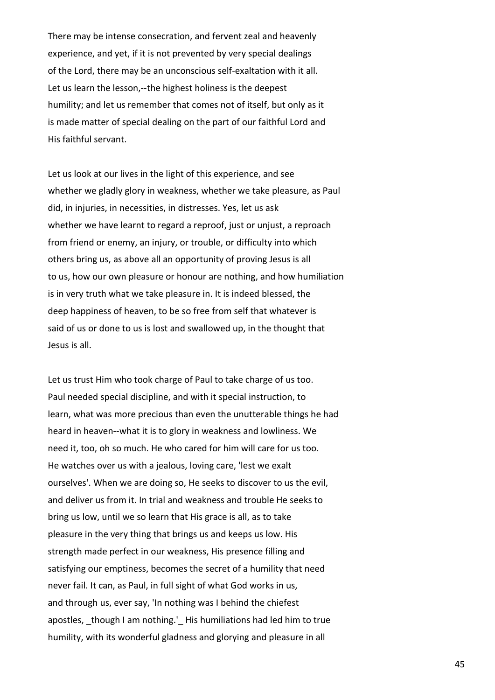There may be intense consecration, and fervent zeal and heavenly experience, and yet, if it is not prevented by very special dealings of the Lord, there may be an unconscious self-exaltation with it all. Let us learn the lesson,--the highest holiness is the deepest humility; and let us remember that comes not of itself, but only as it is made matter of special dealing on the part of our faithful Lord and His faithful servant.

Let us look at our lives in the light of this experience, and see whether we gladly glory in weakness, whether we take pleasure, as Paul did, in injuries, in necessities, in distresses. Yes, let us ask whether we have learnt to regard a reproof, just or unjust, a reproach from friend or enemy, an injury, or trouble, or difficulty into which others bring us, as above all an opportunity of proving Jesus is all to us, how our own pleasure or honour are nothing, and how humiliation is in very truth what we take pleasure in. It is indeed blessed, the deep happiness of heaven, to be so free from self that whatever is said of us or done to us is lost and swallowed up, in the thought that Jesus is all.

Let us trust Him who took charge of Paul to take charge of us too. Paul needed special discipline, and with it special instruction, to learn, what was more precious than even the unutterable things he had heard in heaven--what it is to glory in weakness and lowliness. We need it, too, oh so much. He who cared for him will care for us too. He watches over us with a jealous, loving care, 'lest we exalt ourselves'. When we are doing so, He seeks to discover to us the evil, and deliver us from it. In trial and weakness and trouble He seeks to bring us low, until we so learn that His grace is all, as to take pleasure in the very thing that brings us and keeps us low. His strength made perfect in our weakness, His presence filling and satisfying our emptiness, becomes the secret of a humility that need never fail. It can, as Paul, in full sight of what God works in us, and through us, ever say, 'In nothing was I behind the chiefest apostles, though I am nothing.' His humiliations had led him to true humility, with its wonderful gladness and glorying and pleasure in all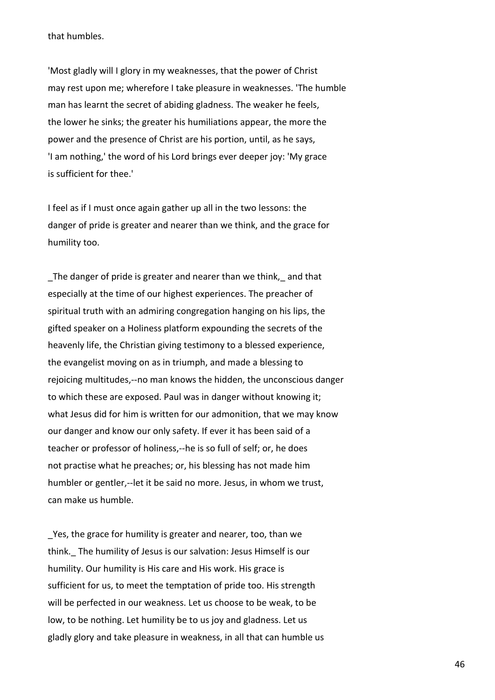that humbles.

'Most gladly will I glory in my weaknesses, that the power of Christ may rest upon me; wherefore I take pleasure in weaknesses. 'The humble man has learnt the secret of abiding gladness. The weaker he feels, the lower he sinks; the greater his humiliations appear, the more the power and the presence of Christ are his portion, until, as he says, 'I am nothing,' the word of his Lord brings ever deeper joy: 'My grace is sufficient for thee.'

I feel as if I must once again gather up all in the two lessons: the danger of pride is greater and nearer than we think, and the grace for humility too.

\_The danger of pride is greater and nearer than we think,\_ and that especially at the time of our highest experiences. The preacher of spiritual truth with an admiring congregation hanging on his lips, the gifted speaker on a Holiness platform expounding the secrets of the heavenly life, the Christian giving testimony to a blessed experience, the evangelist moving on as in triumph, and made a blessing to rejoicing multitudes,--no man knows the hidden, the unconscious danger to which these are exposed. Paul was in danger without knowing it; what Jesus did for him is written for our admonition, that we may know our danger and know our only safety. If ever it has been said of a teacher or professor of holiness,--he is so full of self; or, he does not practise what he preaches; or, his blessing has not made him humbler or gentler,--let it be said no more. Jesus, in whom we trust, can make us humble.

\_Yes, the grace for humility is greater and nearer, too, than we think.\_ The humility of Jesus is our salvation: Jesus Himself is our humility. Our humility is His care and His work. His grace is sufficient for us, to meet the temptation of pride too. His strength will be perfected in our weakness. Let us choose to be weak, to be low, to be nothing. Let humility be to us joy and gladness. Let us gladly glory and take pleasure in weakness, in all that can humble us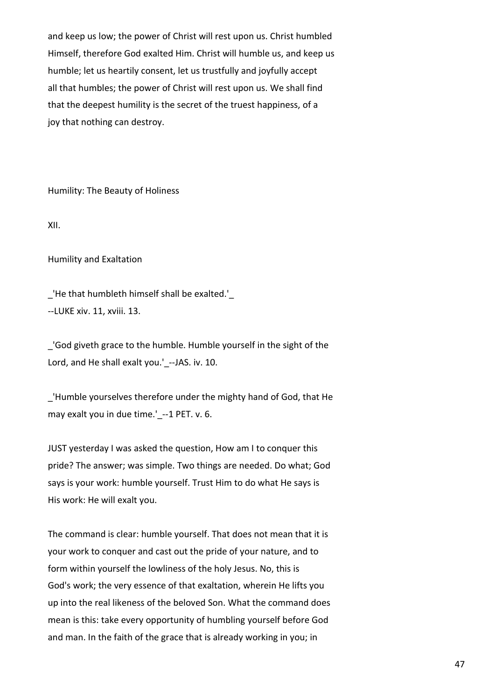and keep us low; the power of Christ will rest upon us. Christ humbled Himself, therefore God exalted Him. Christ will humble us, and keep us humble; let us heartily consent, let us trustfully and joyfully accept all that humbles; the power of Christ will rest upon us. We shall find that the deepest humility is the secret of the truest happiness, of a joy that nothing can destroy.

Humility: The Beauty of Holiness

XII.

Humility and Exaltation

\_'He that humbleth himself shall be exalted.'\_ --LUKE xiv. 11, xviii. 13.

\_'God giveth grace to the humble. Humble yourself in the sight of the Lord, and He shall exalt you.' --JAS. iv. 10.

\_'Humble yourselves therefore under the mighty hand of God, that He may exalt you in due time.' --1 PET. v. 6.

JUST yesterday I was asked the question, How am I to conquer this pride? The answer; was simple. Two things are needed. Do what; God says is your work: humble yourself. Trust Him to do what He says is His work: He will exalt you.

The command is clear: humble yourself. That does not mean that it is your work to conquer and cast out the pride of your nature, and to form within yourself the lowliness of the holy Jesus. No, this is God's work; the very essence of that exaltation, wherein He lifts you up into the real likeness of the beloved Son. What the command does mean is this: take every opportunity of humbling yourself before God and man. In the faith of the grace that is already working in you; in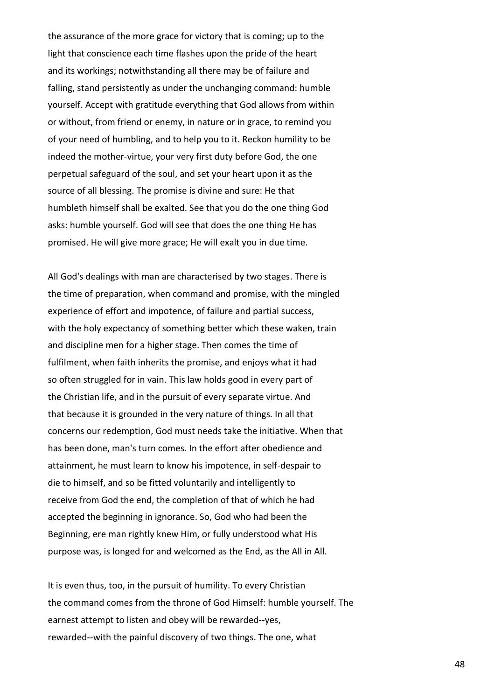the assurance of the more grace for victory that is coming; up to the light that conscience each time flashes upon the pride of the heart and its workings; notwithstanding all there may be of failure and falling, stand persistently as under the unchanging command: humble yourself. Accept with gratitude everything that God allows from within or without, from friend or enemy, in nature or in grace, to remind you of your need of humbling, and to help you to it. Reckon humility to be indeed the mother-virtue, your very first duty before God, the one perpetual safeguard of the soul, and set your heart upon it as the source of all blessing. The promise is divine and sure: He that humbleth himself shall be exalted. See that you do the one thing God asks: humble yourself. God will see that does the one thing He has promised. He will give more grace; He will exalt you in due time.

All God's dealings with man are characterised by two stages. There is the time of preparation, when command and promise, with the mingled experience of effort and impotence, of failure and partial success, with the holy expectancy of something better which these waken, train and discipline men for a higher stage. Then comes the time of fulfilment, when faith inherits the promise, and enjoys what it had so often struggled for in vain. This law holds good in every part of the Christian life, and in the pursuit of every separate virtue. And that because it is grounded in the very nature of things. In all that concerns our redemption, God must needs take the initiative. When that has been done, man's turn comes. In the effort after obedience and attainment, he must learn to know his impotence, in self-despair to die to himself, and so be fitted voluntarily and intelligently to receive from God the end, the completion of that of which he had accepted the beginning in ignorance. So, God who had been the Beginning, ere man rightly knew Him, or fully understood what His purpose was, is longed for and welcomed as the End, as the All in All.

It is even thus, too, in the pursuit of humility. To every Christian the command comes from the throne of God Himself: humble yourself. The earnest attempt to listen and obey will be rewarded--yes, rewarded--with the painful discovery of two things. The one, what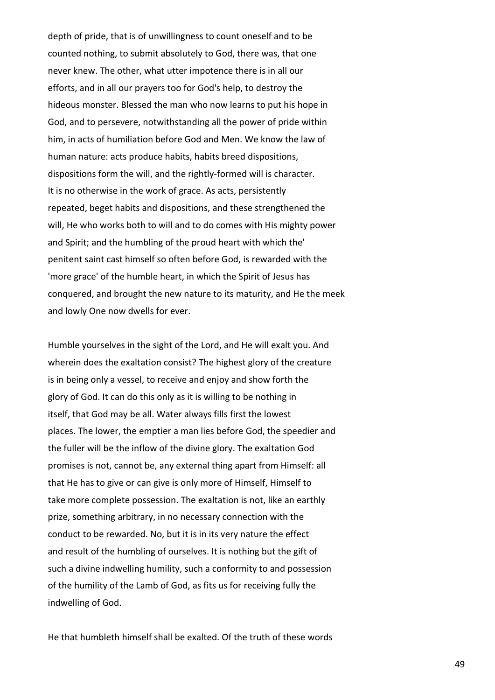depth of pride, that is of unwillingness to count oneself and to be counted nothing, to submit absolutely to God, there was, that one never knew. The other, what utter impotence there is in all our efforts, and in all our prayers too for God's help, to destroy the hideous monster. Blessed the man who now learns to put his hope in God, and to persevere, notwithstanding all the power of pride within him, in acts of humiliation before God and Men. We know the law of human nature: acts produce habits, habits breed dispositions, dispositions form the will, and the rightly-formed will is character. It is no otherwise in the work of grace. As acts, persistently repeated, beget habits and dispositions, and these strengthened the will, He who works both to will and to do comes with His mighty power and Spirit; and the humbling of the proud heart with which the' penitent saint cast himself so often before God, is rewarded with the 'more grace' of the humble heart, in which the Spirit of Jesus has conquered, and brought the new nature to its maturity, and He the meek and lowly One now dwells for ever.

Humble yourselves in the sight of the Lord, and He will exalt you. And wherein does the exaltation consist? The highest glory of the creature is in being only a vessel, to receive and enjoy and show forth the glory of God. It can do this only as it is willing to be nothing in itself, that God may be all. Water always fills first the lowest places. The lower, the emptier a man lies before God, the speedier and the fuller will be the inflow of the divine glory. The exaltation God promises is not, cannot be, any external thing apart from Himself: all that He has to give or can give is only more of Himself, Himself to take more complete possession. The exaltation is not, like an earthly prize, something arbitrary, in no necessary connection with the conduct to be rewarded. No, but it is in its very nature the effect and result of the humbling of ourselves. It is nothing but the gift of such a divine indwelling humility, such a conformity to and possession of the humility of the Lamb of God, as fits us for receiving fully the indwelling of God.

He that humbleth himself shall be exalted. Of the truth of these words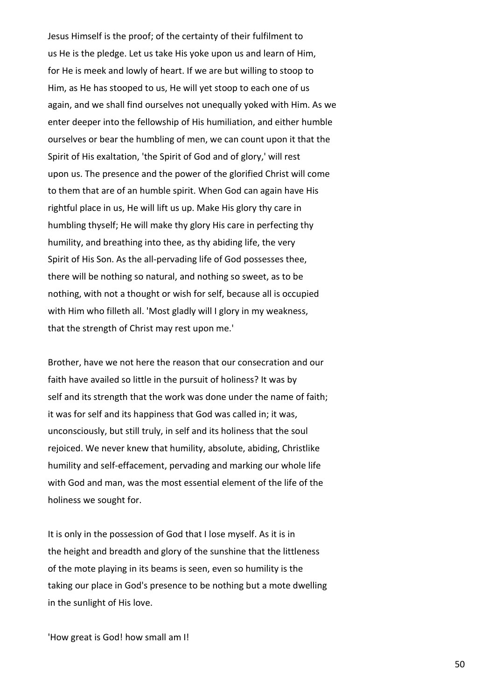Jesus Himself is the proof; of the certainty of their fulfilment to us He is the pledge. Let us take His yoke upon us and learn of Him, for He is meek and lowly of heart. If we are but willing to stoop to Him, as He has stooped to us, He will yet stoop to each one of us again, and we shall find ourselves not unequally yoked with Him. As we enter deeper into the fellowship of His humiliation, and either humble ourselves or bear the humbling of men, we can count upon it that the Spirit of His exaltation, 'the Spirit of God and of glory,' will rest upon us. The presence and the power of the glorified Christ will come to them that are of an humble spirit. When God can again have His rightful place in us, He will lift us up. Make His glory thy care in humbling thyself; He will make thy glory His care in perfecting thy humility, and breathing into thee, as thy abiding life, the very Spirit of His Son. As the all-pervading life of God possesses thee, there will be nothing so natural, and nothing so sweet, as to be nothing, with not a thought or wish for self, because all is occupied with Him who filleth all. 'Most gladly will I glory in my weakness, that the strength of Christ may rest upon me.'

Brother, have we not here the reason that our consecration and our faith have availed so little in the pursuit of holiness? It was by self and its strength that the work was done under the name of faith; it was for self and its happiness that God was called in; it was, unconsciously, but still truly, in self and its holiness that the soul rejoiced. We never knew that humility, absolute, abiding, Christlike humility and self-effacement, pervading and marking our whole life with God and man, was the most essential element of the life of the holiness we sought for.

It is only in the possession of God that I lose myself. As it is in the height and breadth and glory of the sunshine that the littleness of the mote playing in its beams is seen, even so humility is the taking our place in God's presence to be nothing but a mote dwelling in the sunlight of His love.

'How great is God! how small am I!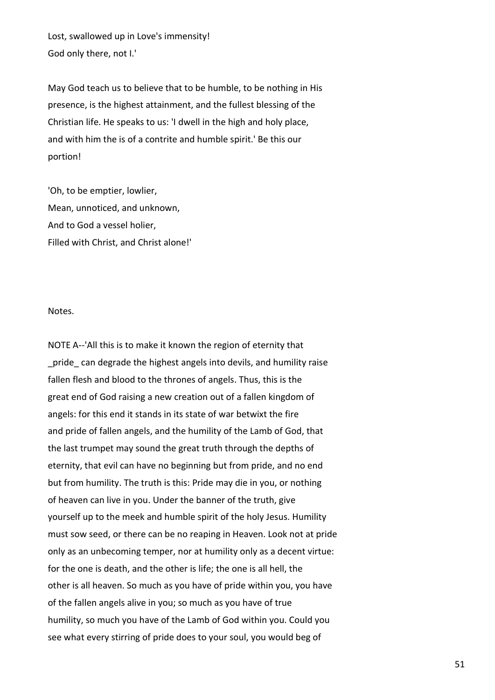Lost, swallowed up in Love's immensity! God only there, not I.'

May God teach us to believe that to be humble, to be nothing in His presence, is the highest attainment, and the fullest blessing of the Christian life. He speaks to us: 'I dwell in the high and holy place, and with him the is of a contrite and humble spirit.' Be this our portion!

'Oh, to be emptier, lowlier, Mean, unnoticed, and unknown, And to God a vessel holier, Filled with Christ, and Christ alone!'

#### Notes.

NOTE A--'All this is to make it known the region of eternity that pride can degrade the highest angels into devils, and humility raise fallen flesh and blood to the thrones of angels. Thus, this is the great end of God raising a new creation out of a fallen kingdom of angels: for this end it stands in its state of war betwixt the fire and pride of fallen angels, and the humility of the Lamb of God, that the last trumpet may sound the great truth through the depths of eternity, that evil can have no beginning but from pride, and no end but from humility. The truth is this: Pride may die in you, or nothing of heaven can live in you. Under the banner of the truth, give yourself up to the meek and humble spirit of the holy Jesus. Humility must sow seed, or there can be no reaping in Heaven. Look not at pride only as an unbecoming temper, nor at humility only as a decent virtue: for the one is death, and the other is life; the one is all hell, the other is all heaven. So much as you have of pride within you, you have of the fallen angels alive in you; so much as you have of true humility, so much you have of the Lamb of God within you. Could you see what every stirring of pride does to your soul, you would beg of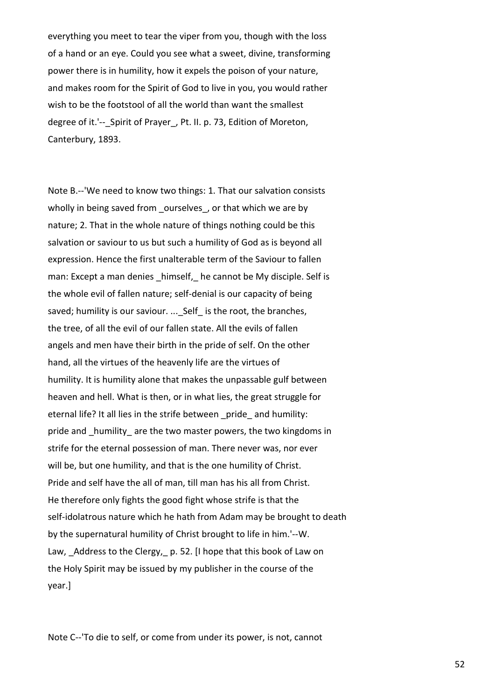everything you meet to tear the viper from you, though with the loss of a hand or an eye. Could you see what a sweet, divine, transforming power there is in humility, how it expels the poison of your nature, and makes room for the Spirit of God to live in you, you would rather wish to be the footstool of all the world than want the smallest degree of it.'--\_Spirit of Prayer\_, Pt. II. p. 73, Edition of Moreton, Canterbury, 1893.

Note B.--'We need to know two things: 1. That our salvation consists wholly in being saved from ourselves, or that which we are by nature; 2. That in the whole nature of things nothing could be this salvation or saviour to us but such a humility of God as is beyond all expression. Hence the first unalterable term of the Saviour to fallen man: Except a man denies \_himself, he cannot be My disciple. Self is the whole evil of fallen nature; self-denial is our capacity of being saved; humility is our saviour. ...\_ Self\_ is the root, the branches, the tree, of all the evil of our fallen state. All the evils of fallen angels and men have their birth in the pride of self. On the other hand, all the virtues of the heavenly life are the virtues of humility. It is humility alone that makes the unpassable gulf between heaven and hell. What is then, or in what lies, the great struggle for eternal life? It all lies in the strife between pride and humility: pride and humility are the two master powers, the two kingdoms in strife for the eternal possession of man. There never was, nor ever will be, but one humility, and that is the one humility of Christ. Pride and self have the all of man, till man has his all from Christ. He therefore only fights the good fight whose strife is that the self-idolatrous nature which he hath from Adam may be brought to death by the supernatural humility of Christ brought to life in him.'--W. Law, Address to the Clergy, p. 52. [I hope that this book of Law on the Holy Spirit may be issued by my publisher in the course of the year.]

Note C--'To die to self, or come from under its power, is not, cannot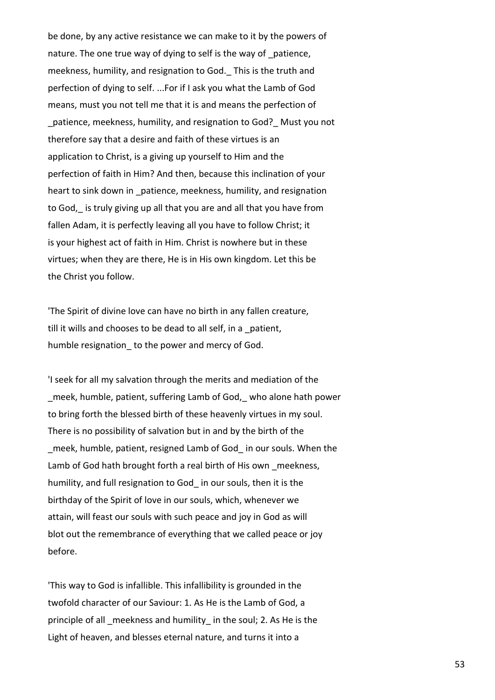be done, by any active resistance we can make to it by the powers of nature. The one true way of dying to self is the way of patience, meekness, humility, and resignation to God. This is the truth and perfection of dying to self. ...For if I ask you what the Lamb of God means, must you not tell me that it is and means the perfection of \_patience, meekness, humility, and resignation to God?\_ Must you not therefore say that a desire and faith of these virtues is an application to Christ, is a giving up yourself to Him and the perfection of faith in Him? And then, because this inclination of your heart to sink down in patience, meekness, humility, and resignation to God, is truly giving up all that you are and all that you have from fallen Adam, it is perfectly leaving all you have to follow Christ; it is your highest act of faith in Him. Christ is nowhere but in these virtues; when they are there, He is in His own kingdom. Let this be the Christ you follow.

'The Spirit of divine love can have no birth in any fallen creature, till it wills and chooses to be dead to all self, in a \_patient, humble resignation to the power and mercy of God.

'I seek for all my salvation through the merits and mediation of the \_meek, humble, patient, suffering Lamb of God,\_ who alone hath power to bring forth the blessed birth of these heavenly virtues in my soul. There is no possibility of salvation but in and by the birth of the \_meek, humble, patient, resigned Lamb of God\_ in our souls. When the Lamb of God hath brought forth a real birth of His own meekness, humility, and full resignation to God\_ in our souls, then it is the birthday of the Spirit of love in our souls, which, whenever we attain, will feast our souls with such peace and joy in God as will blot out the remembrance of everything that we called peace or joy before.

'This way to God is infallible. This infallibility is grounded in the twofold character of our Saviour: 1. As He is the Lamb of God, a principle of all meekness and humility in the soul; 2. As He is the Light of heaven, and blesses eternal nature, and turns it into a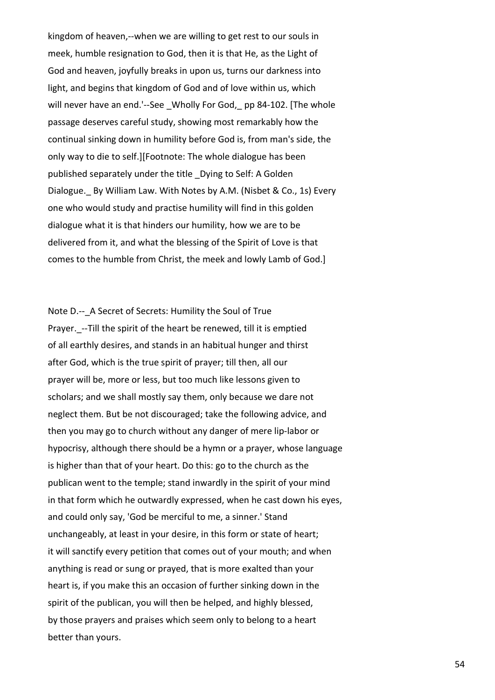kingdom of heaven,--when we are willing to get rest to our souls in meek, humble resignation to God, then it is that He, as the Light of God and heaven, joyfully breaks in upon us, turns our darkness into light, and begins that kingdom of God and of love within us, which will never have an end.'--See Wholly For God, pp 84-102. [The whole passage deserves careful study, showing most remarkably how the continual sinking down in humility before God is, from man's side, the only way to die to self.][Footnote: The whole dialogue has been published separately under the title \_Dying to Self: A Golden Dialogue. By William Law. With Notes by A.M. (Nisbet & Co., 1s) Every one who would study and practise humility will find in this golden dialogue what it is that hinders our humility, how we are to be delivered from it, and what the blessing of the Spirit of Love is that comes to the humble from Christ, the meek and lowly Lamb of God.]

Note D.-- A Secret of Secrets: Humility the Soul of True Prayer.\_--Till the spirit of the heart be renewed, till it is emptied of all earthly desires, and stands in an habitual hunger and thirst after God, which is the true spirit of prayer; till then, all our prayer will be, more or less, but too much like lessons given to scholars; and we shall mostly say them, only because we dare not neglect them. But be not discouraged; take the following advice, and then you may go to church without any danger of mere lip-labor or hypocrisy, although there should be a hymn or a prayer, whose language is higher than that of your heart. Do this: go to the church as the publican went to the temple; stand inwardly in the spirit of your mind in that form which he outwardly expressed, when he cast down his eyes, and could only say, 'God be merciful to me, a sinner.' Stand unchangeably, at least in your desire, in this form or state of heart; it will sanctify every petition that comes out of your mouth; and when anything is read or sung or prayed, that is more exalted than your heart is, if you make this an occasion of further sinking down in the spirit of the publican, you will then be helped, and highly blessed, by those prayers and praises which seem only to belong to a heart better than yours.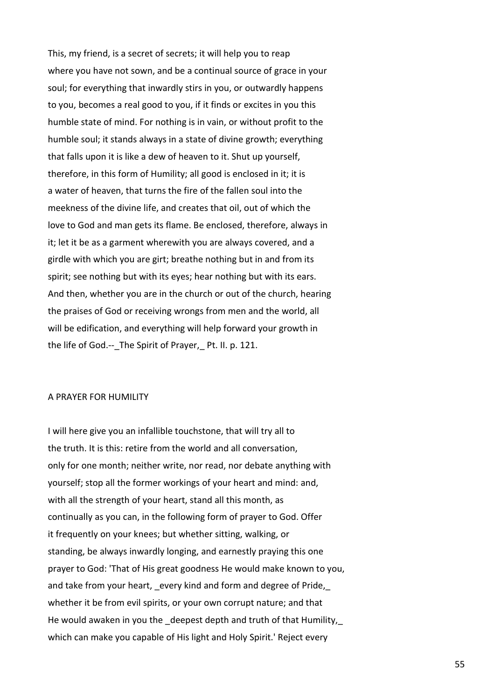This, my friend, is a secret of secrets; it will help you to reap where you have not sown, and be a continual source of grace in your soul; for everything that inwardly stirs in you, or outwardly happens to you, becomes a real good to you, if it finds or excites in you this humble state of mind. For nothing is in vain, or without profit to the humble soul; it stands always in a state of divine growth; everything that falls upon it is like a dew of heaven to it. Shut up yourself, therefore, in this form of Humility; all good is enclosed in it; it is a water of heaven, that turns the fire of the fallen soul into the meekness of the divine life, and creates that oil, out of which the love to God and man gets its flame. Be enclosed, therefore, always in it; let it be as a garment wherewith you are always covered, and a girdle with which you are girt; breathe nothing but in and from its spirit; see nothing but with its eyes; hear nothing but with its ears. And then, whether you are in the church or out of the church, hearing the praises of God or receiving wrongs from men and the world, all will be edification, and everything will help forward your growth in the life of God.-- The Spirit of Prayer, Pt. II. p. 121.

## A PRAYER FOR HUMILITY

I will here give you an infallible touchstone, that will try all to the truth. It is this: retire from the world and all conversation, only for one month; neither write, nor read, nor debate anything with yourself; stop all the former workings of your heart and mind: and, with all the strength of your heart, stand all this month, as continually as you can, in the following form of prayer to God. Offer it frequently on your knees; but whether sitting, walking, or standing, be always inwardly longing, and earnestly praying this one prayer to God: 'That of His great goodness He would make known to you, and take from your heart, \_every kind and form and degree of Pride,\_ whether it be from evil spirits, or your own corrupt nature; and that He would awaken in you the deepest depth and truth of that Humility, which can make you capable of His light and Holy Spirit.' Reject every